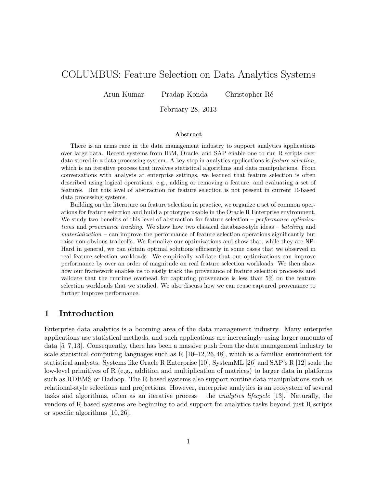# COLUMBUS: Feature Selection on Data Analytics Systems

Arun Kumar Pradap Konda Christopher R´e

February 28, 2013

#### Abstract

There is an arms race in the data management industry to support analytics applications over large data. Recent systems from IBM, Oracle, and SAP enable one to run R scripts over data stored in a data processing system. A key step in analytics applications is feature selection, which is an iterative process that involves statistical algorithms and data manipulations. From conversations with analysts at enterprise settings, we learned that feature selection is often described using logical operations, e.g., adding or removing a feature, and evaluating a set of features. But this level of abstraction for feature selection is not present in current R-based data processing systems.

Building on the literature on feature selection in practice, we organize a set of common operations for feature selection and build a prototype usable in the Oracle R Enterprise environment. We study two benefits of this level of abstraction for feature selection – *performance optimiza*tions and provenance tracking. We show how two classical database-style ideas – batching and  $materialization - can improve the performance of feature selection operations significantly but$ raise non-obvious tradeoffs. We formalize our optimizations and show that, while they are NP-Hard in general, we can obtain optimal solutions efficiently in some cases that we observed in real feature selection workloads. We empirically validate that our optimizations can improve performance by over an order of magnitude on real feature selection workloads. We then show how our framework enables us to easily track the provenance of feature selection processes and validate that the runtime overhead for capturing provenance is less than 5% on the feature selection workloads that we studied. We also discuss how we can reuse captured provenance to further improve performance.

# 1 Introduction

Enterprise data analytics is a booming area of the data management industry. Many enterprise applications use statistical methods, and such applications are increasingly using larger amounts of data [5–7,13]. Consequently, there has been a massive push from the data management industry to scale statistical computing languages such as  $R$  [10–12, 26, 48], which is a familiar environment for statistical analysts. Systems like Oracle R Enterprise [10], SystemML [26] and SAP's R [12] scale the low-level primitives of R (e.g., addition and multiplication of matrices) to larger data in platforms such as RDBMS or Hadoop. The R-based systems also support routine data manipulations such as relational-style selections and projections. However, enterprise analytics is an ecosystem of several tasks and algorithms, often as an iterative process – the analytics lifecycle [13]. Naturally, the vendors of R-based systems are beginning to add support for analytics tasks beyond just R scripts or specific algorithms [10, 26].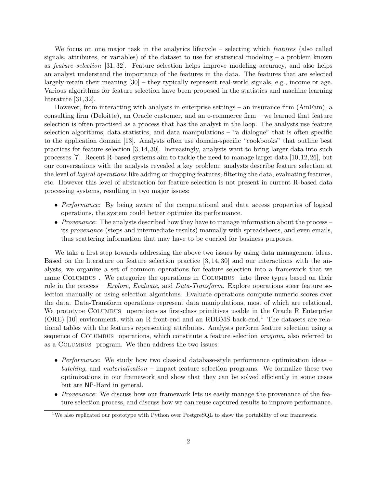We focus on one major task in the analytics lifecycle – selecting which *features* (also called signals, attributes, or variables) of the dataset to use for statistical modeling – a problem known as feature selection [31, 32]. Feature selection helps improve modeling accuracy, and also helps an analyst understand the importance of the features in the data. The features that are selected largely retain their meaning [30] – they typically represent real-world signals, e.g., income or age. Various algorithms for feature selection have been proposed in the statistics and machine learning literature [31, 32].

However, from interacting with analysts in enterprise settings – an insurance firm (AmFam), a consulting firm (Deloitte), an Oracle customer, and an e-commerce firm – we learned that feature selection is often practised as a process that has the analyst in the loop. The analysts use feature selection algorithms, data statistics, and data manipulations – "a dialogue" that is often specific to the application domain [13]. Analysts often use domain-specific "cookbooks" that outline best practices for feature selection [3, 14, 30]. Increasingly, analysts want to bring larger data into such processes [7]. Recent R-based systems aim to tackle the need to manage larger data [10,12,26], but our conversations with the analysts revealed a key problem: analysts describe feature selection at the level of *logical operations* like adding or dropping features, filtering the data, evaluating features, etc. However this level of abstraction for feature selection is not present in current R-based data processing systems, resulting in two major issues:

- Performance: By being aware of the computational and data access properties of logical operations, the system could better optimize its performance.
- *Provenance*: The analysts described how they have to manage information about the process its provenance (steps and intermediate results) manually with spreadsheets, and even emails, thus scattering information that may have to be queried for business purposes.

We take a first step towards addressing the above two issues by using data management ideas. Based on the literature on feature selection practice [3, 14, 30] and our interactions with the analysts, we organize a set of common operations for feature selection into a framework that we name Columbus . We categorize the operations in Columbus into three types based on their role in the process – Explore, Evaluate, and Data-Transform. Explore operations steer feature selection manually or using selection algorithms. Evaluate operations compute numeric scores over the data. Data-Transform operations represent data manipulations, most of which are relational. We prototype COLUMBUS operations as first-class primitives usable in the Oracle R Enterprise (ORE) [10] environment, with an R front-end and an RDBMS back-end.<sup>1</sup> The datasets are relational tables with the features representing attributes. Analysts perform feature selection using a sequence of COLUMBUS operations, which constitute a feature selection *program*, also referred to as a Columbus program. We then address the two issues:

- Performance: We study how two classical database-style performance optimization ideas batching, and materialization – impact feature selection programs. We formalize these two optimizations in our framework and show that they can be solved efficiently in some cases but are NP-Hard in general.
- *Provenance*: We discuss how our framework lets us easily manage the provenance of the feature selection process, and discuss how we can reuse captured results to improve performance.

<sup>&</sup>lt;sup>1</sup>We also replicated our prototype with Python over PostgreSQL to show the portability of our framework.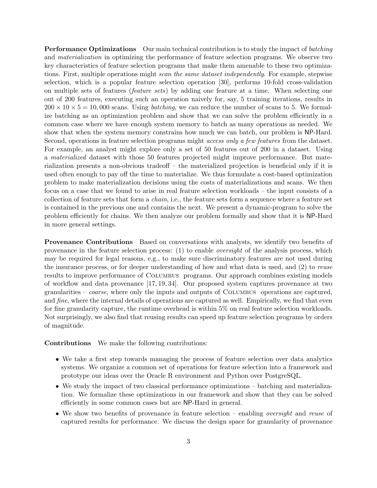**Performance Optimizations** Our main technical contribution is to study the impact of *batching* and materialization in optimizing the performance of feature selection programs. We observe two key characteristics of feature selection programs that make them amenable to these two optimizations. First, multiple operations might scan the same dataset independently. For example, stepwise selection, which is a popular feature selection operation [30], performs 10-fold cross-validation on multiple sets of features (feature sets) by adding one feature at a time. When selecting one out of 200 features, executing such an operation naively for, say, 5 training iterations, results in  $200 \times 10 \times 5 = 10,000$  scans. Using *batching*, we can reduce the number of scans to 5. We formalize batching as an optimization problem and show that we can solve the problem efficiently in a common case where we have enough system memory to batch as many operations as needed. We show that when the system memory constrains how much we can batch, our problem is NP-Hard. Second, operations in feature selection programs might *access only a few features* from the dataset. For example, an analyst might explore only a set of 50 features out of 200 in a dataset. Using a materialized dataset with those 50 features projected might improve performance. But materialization presents a non-obvious tradeoff – the materialized projection is beneficial only if it is used often enough to pay off the time to materialize. We thus formulate a cost-based optimization problem to make materialization decisions using the costs of materializations and scans. We then focus on a case that we found to arise in real feature selection workloads – the input consists of a collection of feature sets that form a chain, i.e., the feature sets form a sequence where a feature set is contained in the previous one and contains the next. We present a dynamic-program to solve the problem efficiently for chains. We then analyze our problem formally and show that it is NP-Hard in more general settings.

Provenance Contributions Based on conversations with analysts, we identify two benefits of provenance in the feature selection process: (1) to enable oversight of the analysis process, which may be required for legal reasons, e.g., to make sure discriminatory features are not used during the insurance process, or for deeper understanding of how and what data is used, and (2) to reuse results to improve performance of Columbus programs. Our approach combines existing models of workflow and data provenance [17, 19, 34]. Our proposed system captures provenance at two granularities –  $coarse$ , where only the inputs and outputs of COLUMBUS operations are captured, and *fine*, where the internal details of operations are captured as well. Empirically, we find that even for fine granularity capture, the runtime overhead is within 5% on real feature selection workloads. Not surprisingly, we also find that reusing results can speed up feature selection programs by orders of magnitude.

Contributions We make the following contributions:

- We take a first step towards managing the process of feature selection over data analytics systems. We organize a common set of operations for feature selection into a framework and prototype our ideas over the Oracle R environment and Python over PostgreSQL.
- We study the impact of two classical performance optimizations batching and materialization. We formalize these optimizations in our framework and show that they can be solved efficiently in some common cases but are NP-Hard in general.
- We show two benefits of provenance in feature selection enabling *oversight* and reuse of captured results for performance. We discuss the design space for granularity of provenance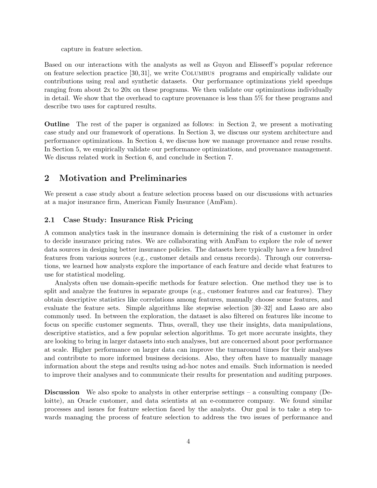capture in feature selection.

Based on our interactions with the analysts as well as Guyon and Elisseeff's popular reference on feature selection practice [30, 31], we write Columbus programs and empirically validate our contributions using real and synthetic datasets. Our performance optimizations yield speedups ranging from about 2x to 20x on these programs. We then validate our optimizations individually in detail. We show that the overhead to capture provenance is less than 5% for these programs and describe two uses for captured results.

Outline The rest of the paper is organized as follows: in Section 2, we present a motivating case study and our framework of operations. In Section 3, we discuss our system architecture and performance optimizations. In Section 4, we discuss how we manage provenance and reuse results. In Section 5, we empirically validate our performance optimizations, and provenance management. We discuss related work in Section 6, and conclude in Section 7.

# 2 Motivation and Preliminaries

We present a case study about a feature selection process based on our discussions with actuaries at a major insurance firm, American Family Insurance (AmFam).

# 2.1 Case Study: Insurance Risk Pricing

A common analytics task in the insurance domain is determining the risk of a customer in order to decide insurance pricing rates. We are collaborating with AmFam to explore the role of newer data sources in designing better insurance policies. The datasets here typically have a few hundred features from various sources (e.g., customer details and census records). Through our conversations, we learned how analysts explore the importance of each feature and decide what features to use for statistical modeling.

Analysts often use domain-specific methods for feature selection. One method they use is to split and analyze the features in separate groups (e.g., customer features and car features). They obtain descriptive statistics like correlations among features, manually choose some features, and evaluate the feature sets. Simple algorithms like stepwise selection [30–32] and Lasso are also commonly used. In between the exploration, the dataset is also filtered on features like income to focus on specific customer segments. Thus, overall, they use their insights, data manipulations, descriptive statistics, and a few popular selection algorithms. To get more accurate insights, they are looking to bring in larger datasets into such analyses, but are concerned about poor performance at scale. Higher performance on larger data can improve the turnaround times for their analyses and contribute to more informed business decisions. Also, they often have to manually manage information about the steps and results using ad-hoc notes and emails. Such information is needed to improve their analyses and to communicate their results for presentation and auditing purposes.

**Discussion** We also spoke to analysts in other enterprise settings  $-$  a consulting company (Deloitte), an Oracle customer, and data scientists at an e-commerce company. We found similar processes and issues for feature selection faced by the analysts. Our goal is to take a step towards managing the process of feature selection to address the two issues of performance and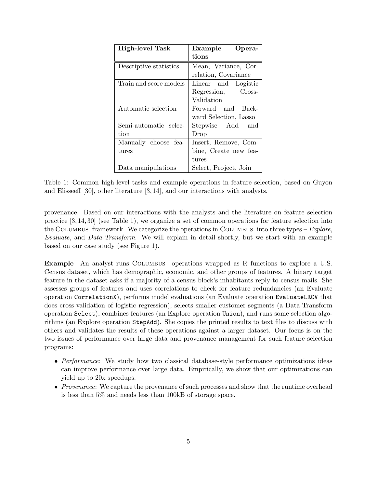| <b>High-level Task</b> | Example<br>Opera-     |
|------------------------|-----------------------|
|                        | tions                 |
| Descriptive statistics | Mean, Variance, Cor-  |
|                        | relation, Covariance  |
| Train and score models | Linear and Logistic   |
|                        | Cross-<br>Regression, |
|                        | Validation            |
| Automatic selection    | Forward and Back-     |
|                        | ward Selection, Lasso |
| Semi-automatic selec-  | Stepwise Add and      |
| tion                   | Drop                  |
| Manually choose fea-   | Insert, Remove, Com-  |
| $_{\rm tures}$         | bine, Create new fea- |
|                        | tures                 |
| Data manipulations     | Select, Project, Join |

Table 1: Common high-level tasks and example operations in feature selection, based on Guyon and Elisseeff [30], other literature [3, 14], and our interactions with analysts.

provenance. Based on our interactions with the analysts and the literature on feature selection practice [3, 14, 30] (see Table 1), we organize a set of common operations for feature selection into the COLUMBUS framework. We categorize the operations in COLUMBUS into three types –  $Explore$ , Evaluate, and Data-Transform. We will explain in detail shortly, but we start with an example based on our case study (see Figure 1).

Example An analyst runs COLUMBUS operations wrapped as R functions to explore a U.S. Census dataset, which has demographic, economic, and other groups of features. A binary target feature in the dataset asks if a majority of a census block's inhabitants reply to census mails. She assesses groups of features and uses correlations to check for feature redundancies (an Evaluate operation CorrelationX), performs model evaluations (an Evaluate operation EvaluateLRCV that does cross-validation of logistic regression), selects smaller customer segments (a Data-Transform operation Select), combines features (an Explore operation Union), and runs some selection algorithms (an Explore operation StepAdd). She copies the printed results to text files to discuss with others and validates the results of these operations against a larger dataset. Our focus is on the two issues of performance over large data and provenance management for such feature selection programs:

- Performance: We study how two classical database-style performance optimizations ideas can improve performance over large data. Empirically, we show that our optimizations can yield up to 20x speedups.
- Provenance: We capture the provenance of such processes and show that the runtime overhead is less than 5% and needs less than 100kB of storage space.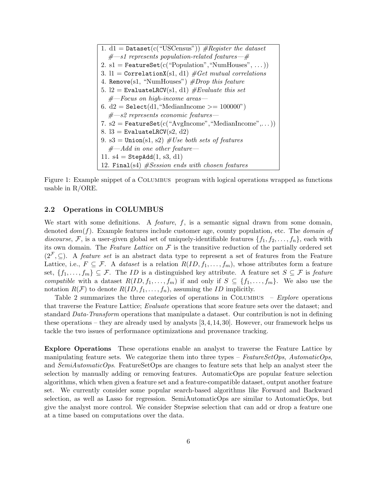1. d1 = Dataset(c("USCensus")) #Register the dataset #—s1 represents population-related features—# 2. s1 = FeatureSet(c("Population","NumHouses", . . .)) 3. l1 = CorrelationX(s1, d1) #Get mutual correlations 4. Remove(s1, "NumHouses") #Drop this feature 5. l2 = EvaluateLRCV(s1, d1) #Evaluate this set #—Focus on high-income areas— 6. d2 = Select(d1,"MedianIncome >= 100000") #—s2 represents economic features— 7. s2 = FeatureSet(c("AvgIncome","MedianIncome",. . .)) 8. l3 = EvaluateLRCV(s2, d2) 9. s3 = Union(s1, s2) #Use both sets of features #—Add in one other feature— 11. s4 = StepAdd(1, s3, d1) 12. Final(s4) #Session ends with chosen features

Figure 1: Example snippet of a Columbus program with logical operations wrapped as functions usable in R/ORE.

## 2.2 Operations in COLUMBUS

We start with some definitions. A *feature*,  $f$ , is a semantic signal drawn from some domain, denoted  $dom(f)$ . Example features include customer age, county population, etc. The *domain of* discourse, F, is a user-given global set of uniquely-identifiable features  $\{f_1, f_2, \ldots, f_n\}$ , each with its own domain. The Feature Lattice on  $\mathcal F$  is the transitive reduction of the partially ordered set  $(2^{\mathcal{F}}, \subseteq)$ . A *feature set* is an abstract data type to represent a set of features from the Feature Lattice, i.e.,  $F \subseteq \mathcal{F}$ . A *dataset* is a relation  $R(ID, f_1, \ldots, f_m)$ , whose attributes form a feature set,  $\{f_1,\ldots,f_m\}\subseteq\mathcal{F}$ . The *ID* is a distinguished key attribute. A feature set  $S\subseteq\mathcal{F}$  is *feature* compatible with a dataset  $R(ID, f_1, \ldots, f_m)$  if and only if  $S \subseteq \{f_1, \ldots, f_m\}$ . We also use the notation  $R(F)$  to denote  $R(ID, f_1, \ldots, f_n)$ , assuming the ID implicitly.

Table 2 summarizes the three categories of operations in COLUMBUS –  $Explore$  operations that traverse the Feature Lattice; Evaluate operations that score feature sets over the dataset; and standard Data-Transform operations that manipulate a dataset. Our contribution is not in defining these operations – they are already used by analysts  $[3, 4, 14, 30]$ . However, our framework helps us tackle the two issues of performance optimizations and provenance tracking.

Explore Operations These operations enable an analyst to traverse the Feature Lattice by manipulating feature sets. We categorize them into three types –  $FeatureSetOps, AutomaticOps$ and *SemiAutomaticOps*. FeatureSetOps are changes to feature sets that help an analyst steer the selection by manually adding or removing features. AutomaticOps are popular feature selection algorithms, which when given a feature set and a feature-compatible dataset, output another feature set. We currently consider some popular search-based algorithms like Forward and Backward selection, as well as Lasso for regression. SemiAutomaticOps are similar to AutomaticOps, but give the analyst more control. We consider Stepwise selection that can add or drop a feature one at a time based on computations over the data.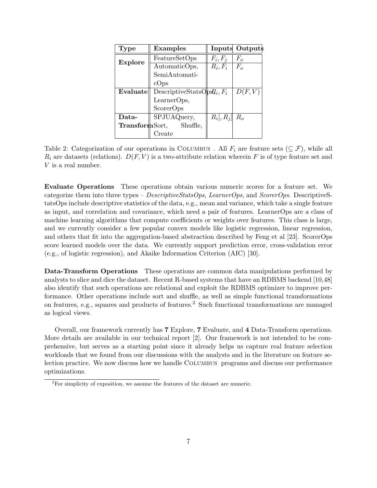| Type                  | <b>Examples</b>               |                    | <b>Inputs Outputs</b> |
|-----------------------|-------------------------------|--------------------|-----------------------|
| <b>Explore</b>        | FeatureSetOps                 | $F_i, F_i$         | $F_{o}$               |
|                       | AutomaticOps,                 | $R_i, F_i$         | $F_{o}$               |
|                       | SemiAutomati-                 |                    |                       |
|                       | cOps                          |                    |                       |
| Evaluate              | DescriptiveStatsOp $R_i, F_i$ |                    | D(F, V)               |
|                       | LearnerOps,                   |                    |                       |
|                       | ScorerOps                     |                    |                       |
| Data-                 | SPJUAQuery,                   | $R_i[, R_j]$ $R_o$ |                       |
| <b>TransformSort,</b> | Shuffle,                      |                    |                       |
|                       | Create                        |                    |                       |

Table 2: Categorization of our operations in COLUMBUS. All  $F_i$  are feature sets ( $\subseteq \mathcal{F}$ ), while all  $R_i$  are datasets (relations).  $D(F, V)$  is a two-attribute relation wherein F is of type feature set and V is a real number.

Evaluate Operations These operations obtain various numeric scores for a feature set. We categorize them into three types –  $DescriptiveStatsOps$ , LearnerOps, and ScorerOps. DescriptiveStatsOps include descriptive statistics of the data, e.g., mean and variance, which take a single feature as input, and correlation and covariance, which need a pair of features. LearnerOps are a class of machine learning algorithms that compute coefficients or weights over features. This class is large, and we currently consider a few popular convex models like logistic regression, linear regression, and others that fit into the aggregation-based abstraction described by Feng et al [23]. ScorerOps score learned models over the data. We currently support prediction error, cross-validation error (e.g., of logistic regression), and Akaike Information Criterion (AIC) [30].

Data-Transform Operations These operations are common data manipulations performed by analysts to slice and dice the dataset. Recent R-based systems that have an RDBMS backend [10,48] also identify that such operations are relational and exploit the RDBMS optimizer to improve performance. Other operations include sort and shuffle, as well as simple functional transformations on features, e.g., squares and products of features.<sup>2</sup> Such functional transformations are managed as logical views.

Overall, our framework currently has 7 Explore, 7 Evaluate, and 4 Data-Transform operations. More details are available in our technical report [2]. Our framework is not intended to be comprehensive, but serves as a starting point since it already helps us capture real feature selection workloads that we found from our discussions with the analysts and in the literature on feature selection practice. We now discuss how we handle COLUMBUS programs and discuss our performance optimizations.

<sup>&</sup>lt;sup>2</sup>For simplicity of exposition, we assume the features of the dataset are numeric.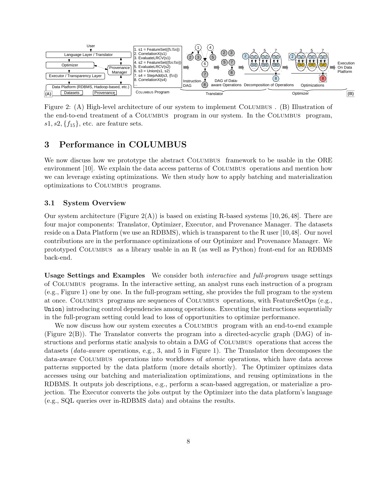

Figure 2: (A) High-level architecture of our system to implement Columbus . (B) Illustration of the end-to-end treatment of a Columbus program in our system. In the Columbus program,  $s1, s2, \{f_{15}\}\text{, etc. are feature sets.}$ 

# 3 Performance in COLUMBUS

We now discuss how we prototype the abstract COLUMBUS framework to be usable in the ORE environment [10]. We explain the data access patterns of COLUMBUS operations and mention how we can leverage existing optimizations. We then study how to apply batching and materialization optimizations to Columbus programs.

# 3.1 System Overview

Our system architecture (Figure  $2(A)$ ) is based on existing R-based systems [10, 26, 48]. There are four major components: Translator, Optimizer, Executor, and Provenance Manager. The datasets reside on a Data Platform (we use an RDBMS), which is transparent to the R user [10,48]. Our novel contributions are in the performance optimizations of our Optimizer and Provenance Manager. We prototyped Columbus as a library usable in an R (as well as Python) front-end for an RDBMS back-end.

Usage Settings and Examples We consider both interactive and full-program usage settings of Columbus programs. In the interactive setting, an analyst runs each instruction of a program (e.g., Figure 1) one by one. In the full-program setting, she provides the full program to the system at once. Columbus programs are sequences of Columbus operations, with FeatureSetOps (e.g., Union) introducing control dependencies among operations. Executing the instructions sequentially in the full-program setting could lead to loss of opportunities to optimize performance.

We now discuss how our system executes a COLUMBUS program with an end-to-end example (Figure 2(B)). The Translator converts the program into a directed-acyclic graph (DAG) of instructions and performs static analysis to obtain a DAG of COLUMBUS operations that access the datasets (*data-aware* operations, e.g., 3, and 5 in Figure 1). The Translator then decomposes the data-aware Columbus operations into workflows of atomic operations, which have data access patterns supported by the data platform (more details shortly). The Optimizer optimizes data accesses using our batching and materialization optimizations, and reusing optimizations in the RDBMS. It outputs job descriptions, e.g., perform a scan-based aggregation, or materialize a projection. The Executor converts the jobs output by the Optimizer into the data platform's language (e.g., SQL queries over in-RDBMS data) and obtains the results.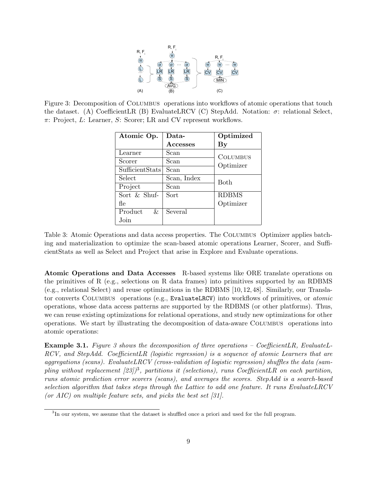

Figure 3: Decomposition of COLUMBUS operations into workflows of atomic operations that touch the dataset. (A) CoefficientLR (B) EvaluateLRCV (C) StepAdd. Notation:  $\sigma$ : relational Select,  $\pi$ : Project, L: Learner, S: Scorer; LR and CV represent workflows.

| Atomic Op.      | Data-           | Optimized              |
|-----------------|-----------------|------------------------|
|                 | <b>Accesses</b> | $\mathbf{B}\mathbf{y}$ |
| Learner         | Scan            | <b>COLUMBUS</b>        |
| Scorer          | Scan            | Optimizer              |
| SufficientStats | Scan            |                        |
| Select          | Scan, Index     | <b>Both</b>            |
| Project         | Scan            |                        |
| Sort & Shuf-    | Sort            | <b>RDBMS</b>           |
| fle             |                 | Optimizer              |
| Product<br>&.   | Several         |                        |
| Join            |                 |                        |

Table 3: Atomic Operations and data access properties. The COLUMBUS Optimizer applies batching and materialization to optimize the scan-based atomic operations Learner, Scorer, and SufficientStats as well as Select and Project that arise in Explore and Evaluate operations.

Atomic Operations and Data Accesses R-based systems like ORE translate operations on the primitives of R (e.g., selections on R data frames) into primitives supported by an RDBMS (e.g., relational Select) and reuse optimizations in the RDBMS [10, 12, 48]. Similarly, our Translator converts COLUMBUS operations (e.g., EvaluateLRCV) into workflows of primitives, or *atomic* operations, whose data access patterns are supported by the RDBMS (or other platforms). Thus, we can reuse existing optimizations for relational operations, and study new optimizations for other operations. We start by illustrating the decomposition of data-aware Columbus operations into atomic operations:

Example 3.1. Figure 3 shows the decomposition of three operations – CoefficientLR, EvaluateL-RCV, and StepAdd. CoefficientLR (logistic regression) is a sequence of atomic Learners that are aggregations (scans). EvaluateLRCV (cross-validation of logistic regression) shuffles the data (sampling without replacement  $[23]$ <sup>3</sup>, partitions it (selections), runs CoefficientLR on each partition, runs atomic prediction error scorers (scans), and averages the scores. StepAdd is a search-based selection algorithm that takes steps through the Lattice to add one feature. It runs EvaluateLRCV (or AIC) on multiple feature sets, and picks the best set  $[31]$ .

<sup>&</sup>lt;sup>3</sup>In our system, we assume that the dataset is shuffled once a priori and used for the full program.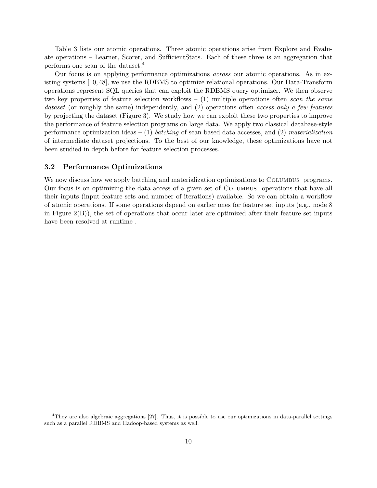Table 3 lists our atomic operations. Three atomic operations arise from Explore and Evaluate operations – Learner, Scorer, and SufficientStats. Each of these three is an aggregation that performs one scan of the dataset.<sup>4</sup>

Our focus is on applying performance optimizations across our atomic operations. As in existing systems [10, 48], we use the RDBMS to optimize relational operations. Our Data-Transform operations represent SQL queries that can exploit the RDBMS query optimizer. We then observe two key properties of feature selection workflows  $- (1)$  multiple operations often scan the same dataset (or roughly the same) independently, and (2) operations often access only a few features by projecting the dataset (Figure 3). We study how we can exploit these two properties to improve the performance of feature selection programs on large data. We apply two classical database-style performance optimization ideas – (1) batching of scan-based data accesses, and (2) materialization of intermediate dataset projections. To the best of our knowledge, these optimizations have not been studied in depth before for feature selection processes.

### 3.2 Performance Optimizations

We now discuss how we apply batching and materialization optimizations to COLUMBUS programs. Our focus is on optimizing the data access of a given set of Columbus operations that have all their inputs (input feature sets and number of iterations) available. So we can obtain a workflow of atomic operations. If some operations depend on earlier ones for feature set inputs (e.g., node 8 in Figure  $2(B)$ , the set of operations that occur later are optimized after their feature set inputs have been resolved at runtime .

<sup>4</sup>They are also algebraic aggregations [27]. Thus, it is possible to use our optimizations in data-parallel settings such as a parallel RDBMS and Hadoop-based systems as well.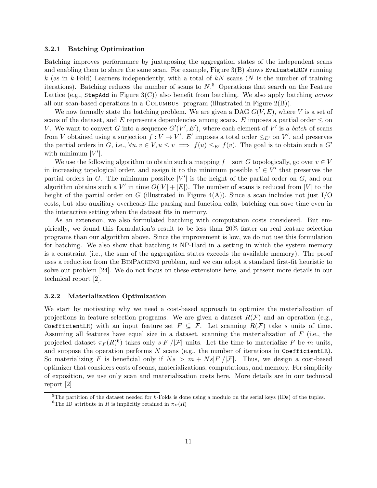#### 3.2.1 Batching Optimization

Batching improves performance by juxtaposing the aggregation states of the independent scans and enabling them to share the same scan. For example, Figure 3(B) shows EvaluateLRCV running k (as in k-Fold) Learners independently, with a total of kN scans (N is the number of training iterations). Batching reduces the number of scans to  $N<sup>5</sup>$  Operations that search on the Feature Lattice (e.g., StepAdd in Figure  $3(C)$ ) also benefit from batching. We also apply batching *across* all our scan-based operations in a Columbus program (illustrated in Figure 2(B)).

We now formally state the batching problem. We are given a DAG  $G(V, E)$ , where V is a set of scans of the dataset, and E represents dependencies among scans. E imposes a partial order  $\leq$  on V. We want to convert G into a sequence  $G'(V', E')$ , where each element of V' is a batch of scans from V obtained using a surjection  $f: V \to V'$ . E' imposes a total order  $\leq_{E'}$  on V', and preserves the partial orders in G, i.e.,  $\forall u, v \in V, u \le v \implies f(u) \le_{E'} f(v)$ . The goal is to obtain such a G' with minimum  $|V'|$ .

We use the following algorithm to obtain such a mapping  $f$  – sort G topologically, go over  $v \in V$ in increasing topological order, and assign it to the minimum possible  $v' \in V'$  that preserves the partial orders in G. The minimum possible  $|V'|$  is the height of the partial order on G, and our algorithm obtains such a V' in time  $O(|V| + |E|)$ . The number of scans is reduced from |V| to the height of the partial order on G (illustrated in Figure  $4(A)$ ). Since a scan includes not just I/O costs, but also auxiliary overheads like parsing and function calls, batching can save time even in the interactive setting when the dataset fits in memory.

As an extension, we also formulated batching with computation costs considered. But empirically, we found this formulation's result to be less than 20% faster on real feature selection programs than our algorithm above. Since the improvement is low, we do not use this formulation for batching. We also show that batching is NP-Hard in a setting in which the system memory is a constraint (i.e., the sum of the aggregation states exceeds the available memory). The proof uses a reduction from the BinPacking problem, and we can adopt a standard first-fit heuristic to solve our problem [24]. We do not focus on these extensions here, and present more details in our technical report [2].

#### 3.2.2 Materialization Optimization

We start by motivating why we need a cost-based approach to optimize the materialization of projections in feature selection programs. We are given a dataset  $R(\mathcal{F})$  and an operation (e.g., CoefficientLR) with an input feature set  $F \subseteq \mathcal{F}$ . Let scanning  $R(\mathcal{F})$  take s units of time. Assuming all features have equal size in a dataset, scanning the materialization of  $F$  (i.e., the projected dataset  $\pi_F(R)^6$ ) takes only  $s|F|/|\mathcal{F}|$  units. Let the time to materialize F be m units, and suppose the operation performs  $N$  scans (e.g., the number of iterations in CoefficientLR). So materializing F is beneficial only if  $Ns > m + Ns|F|/|\mathcal{F}|$ . Thus, we design a cost-based optimizer that considers costs of scans, materializations, computations, and memory. For simplicity of exposition, we use only scan and materialization costs here. More details are in our technical report [2]

<sup>&</sup>lt;sup>5</sup>The partition of the dataset needed for k-Folds is done using a modulo on the serial keys (IDs) of the tuples.

<sup>&</sup>lt;sup>6</sup>The ID attribute in R is implicitly retained in  $\pi_F(R)$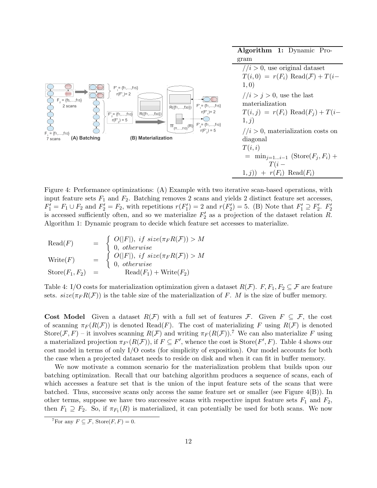|                                                                                                             | Algorithm 1: Dynamic Pro-                               |
|-------------------------------------------------------------------------------------------------------------|---------------------------------------------------------|
|                                                                                                             | gram                                                    |
|                                                                                                             | $1/i > 0$ , use original dataset                        |
|                                                                                                             | $T(i,0) = r(F_i)$ Read $(\mathcal{F}) + T(i-$           |
| $F' = \{f_1, \ldots, f_{15}\}$                                                                              | 1, 0)                                                   |
| $r(F^{\prime}) = 2$                                                                                         | $1/i > j > 0$ , use the last                            |
| $F_2 = \{f5, \ldots, f15\}$<br>$F'_{1} = \{f1, \ldots, f15\}$<br>2 scans<br>$R({f_1,,f_{30}})$              | materialization                                         |
| $r(F') = 2$<br>$\left(R(\{f_1,\ldots,f_{30}\})\right)$<br>$F' = \{f_1, \ldots, f_{10}\}$                    | $T(i, j) = r(F_i) \text{ Read}(F_j) + T(i-$             |
| <u>E</u><br>$r(F'_2) = 5$                                                                                   | 1,j)                                                    |
| $\pi_{\{f1,\ldots,f10\}}(R)$ $F'_{2} = \{f1,\ldots,f10\}$<br>$r(F') = 5$<br>$F_1 = \{f_1, \ldots, f_{10}\}$ | $1/i > 0$ , materialization costs on                    |
| (B) Materialization<br>(A) Batching<br>7 scans                                                              | diagonal                                                |
|                                                                                                             | T(i,i)                                                  |
|                                                                                                             | $=$ min <sub>j=1<i>i</i>-1</sub> (Store( $F_i, F_i$ ) + |
|                                                                                                             | $T(i -$                                                 |
|                                                                                                             | $1, j)$ + $r(F_i)$ Read( $F_i$ )                        |

Figure 4: Performance optimizations: (A) Example with two iterative scan-based operations, with input feature sets  $F_1$  and  $F_2$ . Batching removes 2 scans and yields 2 distinct feature set accesses,  $F'_1 = F_1 \cup F_2$  and  $F'_2 = F_2$ , with repetitions  $r(F'_1) = 2$  and  $r(F'_2) = 5$ . (B) Note that  $F'_1 \supseteq F'_2$ .  $F'_2$ is accessed sufficiently often, and so we materialize  $F_2'$  as a projection of the dataset relation R. Algorithm 1: Dynamic program to decide which feature set accesses to materialize.

$$
Read(F) = \begin{cases} O(|F|), if size(\pi_F R(\mathcal{F})) > M \\ 0, otherwise \\ O(|F|), if size(\pi_F R(\mathcal{F})) > M \end{cases}
$$
  
\n
$$
Write(F) = \begin{cases} O(|F|), if size(\pi_F R(\mathcal{F})) > M \\ 0, otherwise \\ 0, otherwise \end{cases}
$$
  
\n
$$
State(F_1, F_2) = Read(F_1) + Write(F_2)
$$

Table 4: I/O costs for materialization optimization given a dataset  $R(\mathcal{F})$ .  $F, F_1, F_2 \subseteq \mathcal{F}$  are feature sets.  $size(\pi_F R(\mathcal{F}))$  is the table size of the materialization of F. M is the size of buffer memory.

Cost Model Given a dataset  $R(\mathcal{F})$  with a full set of features  $\mathcal{F}$ . Given  $F \subseteq \mathcal{F}$ , the cost of scanning  $\pi_F(R(\mathcal{F}))$  is denoted Read(F). The cost of materializing F using  $R(\mathcal{F})$  is denoted Store $(\mathcal{F}, F)$  – it involves scanning  $R(\mathcal{F})$  and writing  $\pi_F(R(\mathcal{F}))$ .<sup>7</sup> We can also materialize F using a materialized projection  $\pi_{F'}(R(\mathcal{F}))$ , if  $F \subseteq F'$ , whence the cost is  $\text{Store}(F', F)$ . Table 4 shows our cost model in terms of only I/O costs (for simplicity of exposition). Our model accounts for both the case when a projected dataset needs to reside on disk and when it can fit in buffer memory.

We now motivate a common scenario for the materialization problem that builds upon our batching optimization. Recall that our batching algorithm produces a sequence of scans, each of which accesses a feature set that is the union of the input feature sets of the scans that were batched. Thus, successive scans only access the same feature set or smaller (see Figure  $4(B)$ ). In other terms, suppose we have two successive scans with respective input feature sets  $F_1$  and  $F_2$ , then  $F_1 \supseteq F_2$ . So, if  $\pi_{F_1}(R)$  is materialized, it can potentially be used for both scans. We now

<sup>&</sup>lt;sup>7</sup>For any  $F \subseteq \mathcal{F}$ , Store $(F, F) = 0$ .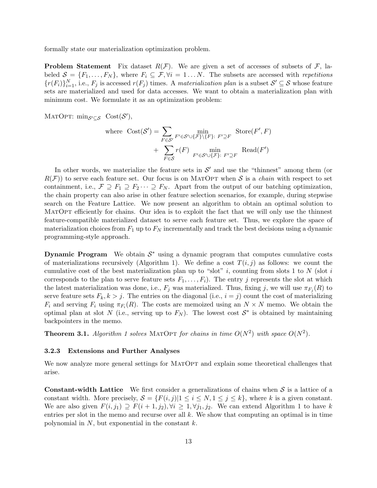formally state our materialization optimization problem.

**Problem Statement** Fix dataset  $R(F)$ . We are given a set of accesses of subsets of F, labeled  $S = \{F_1, \ldots, F_N\}$ , where  $F_i \subseteq \mathcal{F}, \forall i = 1 \ldots N$ . The subsets are accessed with *repetitions*  ${r(F_i)}_{i=1}^N$ , i.e.,  $F_j$  is accessed  $r(F_j)$  times. A materialization plan is a subset  $S' \subseteq S$  whose feature sets are materialized and used for data accesses. We want to obtain a materialization plan with minimum cost. We formulate it as an optimization problem:

MATOPT:  $\min_{\mathcal{S}' \subseteq \mathcal{S}} \text{Cost}(\mathcal{S}')$ ,

where 
$$
\text{Cost}(\mathcal{S}') = \sum_{F \in \mathcal{S}'} \min_{F' \in \mathcal{S}' \cup \{F\} \setminus \{F\}:\ F' \supseteq F} \text{Store}(F', F)
$$
  
+  $\sum_{F \in \mathcal{S}} r(F) \min_{F' \in \mathcal{S}' \cup \{F\}:\ F' \supseteq F} \text{Read}(F')$ 

In other words, we materialize the feature sets in  $\mathcal{S}'$  and use the "thinnest" among them (or  $R(F)$  to serve each feature set. Our focus is on MATOPT when S is a *chain* with respect to set containment, i.e.,  $\mathcal{F} \supseteq F_1 \supseteq F_2 \cdots \supseteq F_N$ . Apart from the output of our batching optimization, the chain property can also arise in other feature selection scenarios, for example, during stepwise search on the Feature Lattice. We now present an algorithm to obtain an optimal solution to MATOPT efficiently for chains. Our idea is to exploit the fact that we will only use the thinnest feature-compatible materialized dataset to serve each feature set. Thus, we explore the space of materialization choices from  $F_1$  up to  $F_N$  incrementally and track the best decisions using a dynamic programming-style approach.

**Dynamic Program** We obtain  $S^*$  using a dynamic program that computes cumulative costs of materializations recursively (Algorithm 1). We define a cost  $T(i, j)$  as follows: we count the cumulative cost of the best materialization plan up to "slot" i, counting from slots 1 to  $N$  (slot i corresponds to the plan to serve feature sets  $F_1, \ldots, F_i$ ). The entry j represents the slot at which the latest materialization was done, i.e.,  $F_j$  was materialized. Thus, fixing j, we will use  $\pi_{F_j}(R)$  to serve feature sets  $F_k, k > j$ . The entries on the diagonal (i.e.,  $i = j$ ) count the cost of materializing  $F_i$  and serving  $F_i$  using  $\pi_{F_i}(R)$ . The costs are memoized using an  $N \times N$  memo. We obtain the optimal plan at slot N (i.e., serving up to  $F_N$ ). The lowest cost  $S^*$  is obtained by maintaining backpointers in the memo.

**Theorem 3.1.** Algorithm 1 solves MATOPT for chains in time  $O(N^2)$  with space  $O(N^2)$ .

#### 3.2.3 Extensions and Further Analyses

We now analyze more general settings for MATOPT and explain some theoretical challenges that arise.

**Constant-width Lattice** We first consider a generalizations of chains when  $S$  is a lattice of a constant width. More precisely,  $S = \{F(i, j)|1 \leq i \leq N, 1 \leq j \leq k\}$ , where k is a given constant. We are also given  $F(i, j_1) \supseteq F(i + 1, j_2), \forall i \geq 1, \forall j_1, j_2$ . We can extend Algorithm 1 to have k entries per slot in the memo and recurse over all  $k$ . We show that computing an optimal is in time polynomial in  $N$ , but exponential in the constant  $k$ .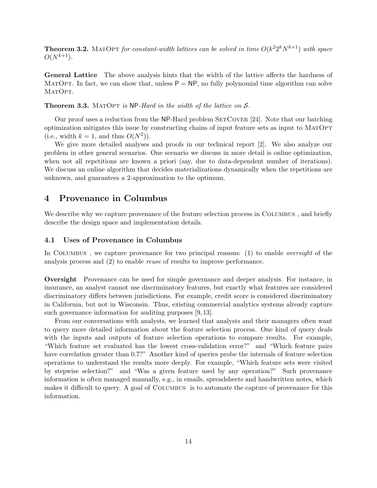**Theorem 3.2.** MATOPT for constant-width lattices can be solved in time  $O(k^2 2^k N^{k+1})$  with space  $O(N^{k+1})$ .

General Lattice The above analysis hints that the width of the lattice affects the hardness of MATOPT. In fact, we can show that, unless  $P = NP$ , no fully polynomial time algorithm can solve MATOPT.

**Theorem 3.3.** MATOPT is NP-Hard in the width of the lattice on  $S$ .

Our proof uses a reduction from the NP-Hard problem SETCOVER [24]. Note that our batching optimization mitigates this issue by constructing chains of input feature sets as input to MatOpt (i.e., width  $k = 1$ , and thus  $O(N^2)$ ).

We give more detailed analyses and proofs in our technical report [2]. We also analyze our problem in other general scenarios. One scenario we discuss in more detail is online optimization, when not all repetitions are known a priori (say, due to data-dependent number of iterations). We discuss an online algorithm that decides materializations dynamically when the repetitions are unknown, and guarantees a 2-approximation to the optimum.

# 4 Provenance in Columbus

We describe why we capture provenance of the feature selection process in COLUMBUS, and briefly describe the design space and implementation details.

# 4.1 Uses of Provenance in Columbus

In COLUMBUS, we capture provenance for two principal reasons: (1) to enable *oversight* of the analysis process and (2) to enable reuse of results to improve performance.

Oversight Provenance can be used for simple governance and deeper analysis. For instance, in insurance, an analyst cannot use discriminatory features, but exactly what features are considered discriminatory differs between jurisdictions. For example, credit score is considered discriminatory in California, but not in Wisconsin. Thus, existing commercial analytics systems already capture such governance information for auditing purposes [9, 13].

From our conversations with analysts, we learned that analysts and their managers often want to query more detailed information about the feature selection process. One kind of query deals with the inputs and outputs of feature selection operations to compare results. For example, "Which feature set evaluated has the lowest cross-validation error?" and "Which feature pairs have correlation greater than 0.7?" Another kind of queries probe the internals of feature selection operations to understand the results more deeply. For example, "Which feature sets were visited by stepwise selection?" and "Was a given feature used by any operation?" Such provenance information is often managed manually, e.g., in emails, spreadsheets and handwritten notes, which makes it difficult to query. A goal of COLUMBUS is to automate the capture of provenance for this information.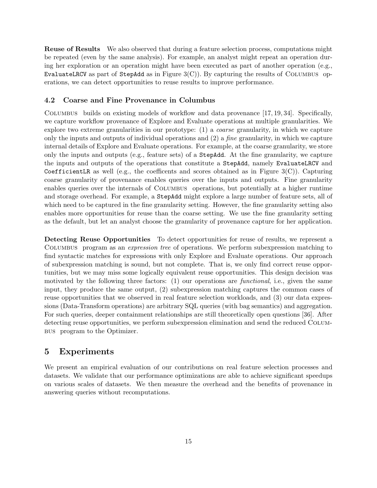Reuse of Results We also observed that during a feature selection process, computations might be repeated (even by the same analysis). For example, an analyst might repeat an operation during her exploration or an operation might have been executed as part of another operation (e.g., EvaluateLRCV as part of StepAdd as in Figure  $3(C)$ ). By capturing the results of COLUMBUS operations, we can detect opportunities to reuse results to improve performance.

### 4.2 Coarse and Fine Provenance in Columbus

Columbus builds on existing models of workflow and data provenance [17, 19, 34]. Specifically, we capture workflow provenance of Explore and Evaluate operations at multiple granularities. We explore two extreme granularities in our prototype: (1) a coarse granularity, in which we capture only the inputs and outputs of individual operations and  $(2)$  a *fine* granularity, in which we capture internal details of Explore and Evaluate operations. For example, at the coarse granularity, we store only the inputs and outputs (e.g., feature sets) of a StepAdd. At the fine granularity, we capture the inputs and outputs of the operations that constitute a StepAdd, namely EvaluateLRCV and CoefficientLR as well (e.g., the coefficents and scores obtained as in Figure  $3(C)$ ). Capturing coarse granularity of provenance enables queries over the inputs and outputs. Fine granularity enables queries over the internals of COLUMBUS operations, but potentially at a higher runtime and storage overhead. For example, a StepAdd might explore a large number of feature sets, all of which need to be captured in the fine granularity setting. However, the fine granularity setting also enables more opportunities for reuse than the coarse setting. We use the fine granularity setting as the default, but let an analyst choose the granularity of provenance capture for her application.

Detecting Reuse Opportunities To detect opportunities for reuse of results, we represent a Columbus program as an expression tree of operations. We perform subexpression matching to find syntactic matches for expressions with only Explore and Evaluate operations. Our approach of subexpression matching is sound, but not complete. That is, we only find correct reuse opportunities, but we may miss some logically equivalent reuse opportunities. This design decision was motivated by the following three factors: (1) our operations are *functional*, i.e., given the same input, they produce the same output, (2) subexpression matching captures the common cases of reuse opportunities that we observed in real feature selection workloads, and (3) our data expressions (Data-Transform operations) are arbitrary SQL queries (with bag semantics) and aggregation. For such queries, deeper containment relationships are still theoretically open questions [36]. After detecting reuse opportunities, we perform subexpression elimination and send the reduced Columbus program to the Optimizer.

# 5 Experiments

We present an empirical evaluation of our contributions on real feature selection processes and datasets. We validate that our performance optimizations are able to achieve significant speedups on various scales of datasets. We then measure the overhead and the benefits of provenance in answering queries without recomputations.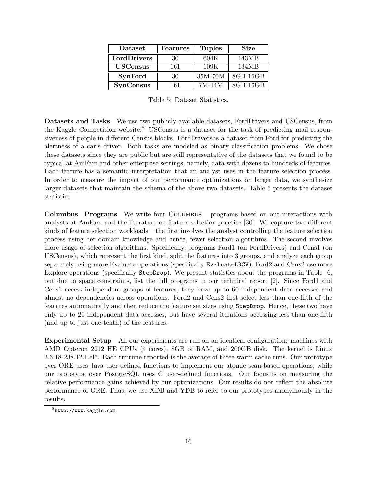| Dataset<br>Features |     | <b>Tuples</b> | <b>Size</b> |  |
|---------------------|-----|---------------|-------------|--|
| FordDrivers         | 30  | 604K          | 143MB       |  |
| <b>USCensus</b>     | 161 | 109K          | 134MB       |  |
| <b>SynFord</b>      | 30  | 35M-70M       | 8GB-16GB    |  |
| <b>SynCensus</b>    | 161 | 7M-14M        | 8GB-16GB    |  |

Table 5: Dataset Statistics.

Datasets and Tasks We use two publicly available datasets, FordDrivers and USCensus, from the Kaggle Competition website.<sup>8</sup> USCensus is a dataset for the task of predicting mail responsiveness of people in different Census blocks. FordDrivers is a dataset from Ford for predicting the alertness of a car's driver. Both tasks are modeled as binary classification problems. We chose these datasets since they are public but are still representative of the datasets that we found to be typical at AmFam and other enterprise settings, namely, data with dozens to hundreds of features. Each feature has a semantic interpretation that an analyst uses in the feature selection process. In order to measure the impact of our performance optimizations on larger data, we synthesize larger datasets that maintain the schema of the above two datasets. Table 5 presents the dataset statistics.

Columbus Programs We write four Columbus programs based on our interactions with analysts at AmFam and the literature on feature selection practice [30]. We capture two different kinds of feature selection workloads – the first involves the analyst controlling the feature selection process using her domain knowledge and hence, fewer selection algorithms. The second involves more usage of selection algorithms. Specifically, programs Ford1 (on FordDrivers) and Cens1 (on USCensus), which represent the first kind, split the features into 3 groups, and analyze each group separately using more Evaluate operations (specifically EvaluateLRCV). Ford2 and Cens2 use more Explore operations (specifically StepDrop). We present statistics about the programs in Table 6, but due to space constraints, list the full programs in our technical report [2]. Since Ford1 and Cens1 access independent groups of features, they have up to 60 independent data accesses and almost no dependencies across operations. Ford2 and Cens2 first select less than one-fifth of the features automatically and then reduce the feature set sizes using StepDrop. Hence, these two have only up to 20 independent data accesses, but have several iterations accessing less than one-fifth (and up to just one-tenth) of the features.

Experimental Setup All our experiments are run on an identical configuration: machines with AMD Opteron 2212 HE CPUs (4 cores), 8GB of RAM, and 200GB disk. The kernel is Linux 2.6.18-238.12.1.el5. Each runtime reported is the average of three warm-cache runs. Our prototype over ORE uses Java user-defined functions to implement our atomic scan-based operations, while our prototype over PostgreSQL uses C user-defined functions. Our focus is on measuring the relative performance gains achieved by our optimizations. Our results do not reflect the absolute performance of ORE. Thus, we use XDB and YDB to refer to our prototypes anonymously in the results.

 ${}^{8}$ http://www.kaggle.com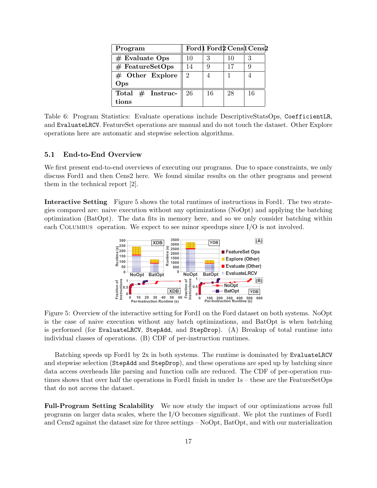| Program            |               |    |    | Ford1 Ford2 Cens1 Cens2 |
|--------------------|---------------|----|----|-------------------------|
| $#$ Evaluate Ops   | 10            |    | 10 |                         |
| $#$ FeatureSetOps  | 14            |    |    |                         |
| $#$ Other Explore  | $\mathcal{D}$ |    |    |                         |
| Ops                |               |    |    |                         |
| Total $#$ Instruc- | -26           | 16 | 28 | 16                      |
| tions              |               |    |    |                         |

Table 6: Program Statistics: Evaluate operations include DescriptiveStatsOps, CoefficientLR, and EvaluateLRCV. FeatureSet operations are manual and do not touch the dataset. Other Explore operations here are automatic and stepwise selection algorithms.

## 5.1 End-to-End Overview

We first present end-to-end overviews of executing our programs. Due to space constraints, we only discuss Ford1 and then Cens2 here. We found similar results on the other programs and present them in the technical report [2].

Interactive Setting Figure 5 shows the total runtimes of instructions in Ford1. The two strategies compared are: naive execution without any optimizations (NoOpt) and applying the batching optimization (BatOpt). The data fits in memory here, and so we only consider batching within each COLUMBUS operation. We expect to see minor speedups since  $I/O$  is not involved.



Figure 5: Overview of the interactive setting for Ford1 on the Ford dataset on both systems. NoOpt is the case of naive execution without any batch optimizations, and BatOpt is when batching is performed (for EvaluateLRCV, StepAdd, and StepDrop). (A) Breakup of total runtime into individual classes of operations. (B) CDF of per-instruction runtimes.

Batching speeds up Ford1 by 2x in both systems. The runtime is dominated by EvaluateLRCV and stepwise selection (StepAdd and StepDrop), and these operations are sped up by batching since data access overheads like parsing and function calls are reduced. The CDF of per-operation runtimes shows that over half the operations in Ford1 finish in under 1s – these are the FeatureSetOps that do not access the dataset.

Full-Program Setting Scalability We now study the impact of our optimizations across full programs on larger data scales, where the I/O becomes significant. We plot the runtimes of Ford1 and Cens2 against the dataset size for three settings – NoOpt, BatOpt, and with our materialization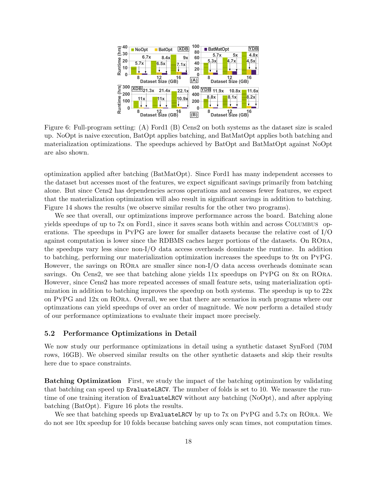

Figure 6: Full-program setting: (A) Ford1 (B) Cens2 on both systems as the dataset size is scaled up. NoOpt is naive execution, BatOpt applies batching, and BatMatOpt applies both batching and materialization optimizations. The speedups achieved by BatOpt and BatMatOpt against NoOpt are also shown.

optimization applied after batching (BatMatOpt). Since Ford1 has many independent accesses to the dataset but accesses most of the features, we expect significant savings primarily from batching alone. But since Cens2 has dependencies across operations and accesses fewer features, we expect that the materialization optimization will also result in significant savings in addition to batching. Figure 14 shows the results (we observe similar results for the other two programs).

We see that overall, our optimizations improve performance across the board. Batching alone yields speedups of up to 7x on Ford1, since it saves scans both within and across Columbus operations. The speedups in PyPG are lower for smaller datasets because the relative cost of I/O against computation is lower since the RDBMS caches larger portions of the datasets. On ROra, the speedups vary less since non-I/O data access overheads dominate the runtime. In addition to batching, performing our materialization optimization increases the speedups to 9x on PyPG. However, the savings on ROra are smaller since non-I/O data access overheads dominate scan savings. On Cens2, we see that batching alone yields 11x speedups on PyPG on 8x on ROra. However, since Cens2 has more repeated accesses of small feature sets, using materialization optimization in addition to batching improves the speedup on both systems. The speedup is up to  $22x$ on PyPG and 12x on ROra. Overall, we see that there are scenarios in such programs where our optimzations can yield speedups of over an order of magnitude. We now perform a detailed study of our performance optimizations to evaluate their impact more precisely.

## 5.2 Performance Optimizations in Detail

We now study our performance optimizations in detail using a synthetic dataset SynFord (70M rows, 16GB). We observed similar results on the other synthetic datasets and skip their results here due to space constraints.

Batching Optimization First, we study the impact of the batching optimization by validating that batching can speed up EvaluateLRCV. The number of folds is set to 10. We measure the runtime of one training iteration of EvaluateLRCV without any batching (NoOpt), and after applying batching (BatOpt). Figure 16 plots the results.

We see that batching speeds up EvaluateLRCV by up to 7x on PYPG and 5.7x on RORA. We do not see 10x speedup for 10 folds because batching saves only scan times, not computation times.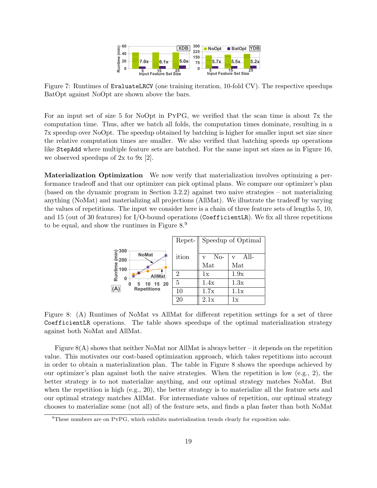

Figure 7: Runtimes of EvaluateLRCV (one training iteration, 10-fold CV). The respective speedups BatOpt against NoOpt are shown above the bars.

For an input set of size 5 for NoOpt in PyPG, we verified that the scan time is about 7x the computation time. Thus, after we batch all folds, the computation times dominate, resulting in a 7x speedup over NoOpt. The speedup obtained by batching is higher for smaller input set size since the relative computation times are smaller. We also verified that batching speeds up operations like StepAdd where multiple feature sets are batched. For the same input set sizes as in Figure 16, we observed speedups of 2x to 9x [2].

Materialization Optimization We now verify that materialization involves optimizing a performance tradeoff and that our optimizer can pick optimal plans. We compare our optimizer's plan (based on the dynamic program in Section 3.2.2) against two naive strategies – not materializing anything (NoMat) and materializing all projections (AllMat). We illustrate the tradeoff by varying the values of repetitions. The input we consider here is a chain of three feature sets of lengths 5, 10, and 15 (out of 30 features) for  $I/O$ -bound operations (CoefficientLR). We fix all three repetitions to be equal, and show the runtimes in Figure  $8<sup>9</sup>$ 



Figure 8: (A) Runtimes of NoMat vs AllMat for different repetition settings for a set of three CoefficientLR operations. The table shows speedups of the optimal materialization strategy against both NoMat and AllMat.

Figure  $8(A)$  shows that neither NoMat nor AllMat is always better – it depends on the repetition value. This motivates our cost-based optimization approach, which takes repetitions into account in order to obtain a materialization plan. The table in Figure 8 shows the speedups achieved by our optimizer's plan against both the naive strategies. When the repetition is low (e.g., 2), the better strategy is to not materialize anything, and our optimal strategy matches NoMat. But when the repetition is high (e.g., 20), the better strategy is to materialize all the feature sets and our optimal strategy matches AllMat. For intermediate values of repetition, our optimal strategy chooses to materialize some (not all) of the feature sets, and finds a plan faster than both NoMat

<sup>9</sup>These numbers are on PyPG, which exhibits materialization trends clearly for exposition sake.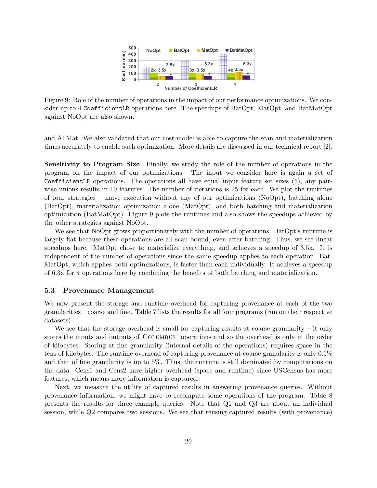

Figure 9: Role of the number of operations in the impact of our performance optimizations. We consider up to 4 CoefficientLR operations here. The speedups of BatOpt, MatOpt, and BatMatOpt against NoOpt are also shown.

and AllMat. We also validated that our cost model is able to capture the scan and materialization times accurately to enable such optimization. More details are discussed in our technical report [2].

Sensitivity to Program Size Finally, we study the role of the number of operations in the program on the impact of our optimizations. The input we consider here is again a set of CoefficientLR operations. The operations all have equal input feature set sizes (5), any pairwise unions results in 10 features. The number of iterations is 25 for each. We plot the runtimes of four strategies – naive execution without any of our optimizations (NoOpt), batching alone (BatOpt), materialization optimization alone (MatOpt), and both batching and materialization optimization (BatMatOpt). Figure 9 plots the runtimes and also shows the speedups achieved by the other strategies against NoOpt.

We see that NoOpt grows proportionately with the number of operations. BatOpt's runtime is largely flat because these operations are all scan-bound, even after batching. Thus, we see linear speedups here. MatOpt chose to materialize everything, and achieves a speedup of 3.5x. It is independent of the number of operations since the same speedup applies to each operation. Bat-MatOpt, which applies both optimizations, is faster than each individually. It achieves a speedup of 6.3x for 4 operations here by combining the benefits of both batching and materialization.

### 5.3 Provenance Management

We now present the storage and runtime overhead for capturing provenance at each of the two granularities – coarse and fine. Table 7 lists the results for all four programs (run on their respective datasets).

We see that the storage overhead is small for capturing results at coarse granularity  $-$  it only stores the inputs and outputs of Columbus operations and so the overhead is only in the order of kilobytes. Storing at fine granularity (internal details of the operations) requires space in the tens of kilobytes. The runtime overhead of capturing provenance at coarse granularity is only 0.1% and that of fine granularity is up to 5%. Thus, the runtime is still dominated by computations on the data. Cens1 and Cens2 have higher overhead (space and runtime) since USCensus has more features, which means more information is captured.

Next, we measure the utility of captured results in answering provenance queries. Without provenance information, we might have to recompute some operations of the program. Table 8 presents the results for three example queries. Note that Q1 and Q3 are about an individual session, while Q2 compares two sessions. We see that reusing captured results (with provenance)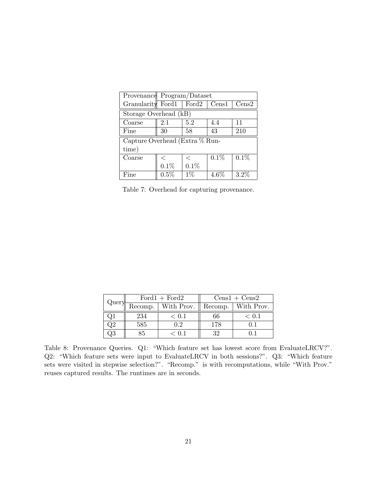| Provenance Program/Dataset     |         |               |       |         |  |
|--------------------------------|---------|---------------|-------|---------|--|
| Granularity Ford1              |         | $\vert$ Ford2 | Cens1 | Cens2   |  |
| Storage Overhead (kB)          |         |               |       |         |  |
| Coarse                         | 2.1     | 5.2           | 4.4   | 11      |  |
| Fine                           | 30      | 58            | 43    | 210     |  |
| Capture Overhead (Extra % Run- |         |               |       |         |  |
| time)                          |         |               |       |         |  |
| Coarse                         | $\,<\,$ | $\,<\,$       | 0.1%  | 0.1%    |  |
|                                | 0.1%    | 0.1%          |       |         |  |
| Fine                           | 0.5%    | $1\%$         | 4.6%  | $3.2\%$ |  |

Table 7: Overhead for capturing provenance.

| Query | $Ford1 + Ford2$             |            | $Cens1 + Cens2$ |            |
|-------|-----------------------------|------------|-----------------|------------|
|       | $\overline{\text{Recomp.}}$ | With Prov. | Recomp.         | With Prov. |
|       | 234                         | $\leq 0.1$ |                 | ⊂ O T      |
|       | 585                         | 0.2        | 178             |            |
| Э3    |                             | $\leq 0.1$ | 39.             |            |

Table 8: Provenance Queries. Q1: "Which feature set has lowest score from EvaluateLRCV?". Q2: "Which feature sets were input to EvaluateLRCV in both sessions?". Q3: "Which feature sets were visited in stepwise selection?". "Recomp." is with recomputations, while "With Prov." reuses captured results. The runtimes are in seconds.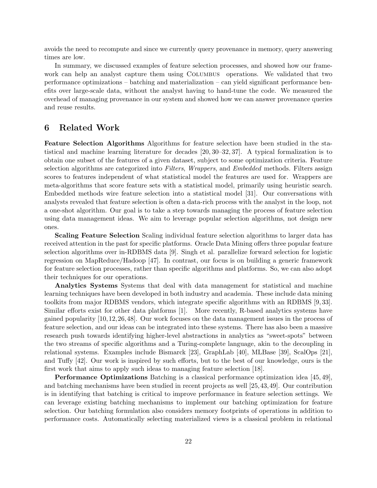avoids the need to recompute and since we currently query provenance in memory, query answering times are low.

In summary, we discussed examples of feature selection processes, and showed how our framework can help an analyst capture them using COLUMBUS operations. We validated that two performance optimizations – batching and materialization – can yield significant performance benefits over large-scale data, without the analyst having to hand-tune the code. We measured the overhead of managing provenance in our system and showed how we can answer provenance queries and reuse results.

# 6 Related Work

Feature Selection Algorithms Algorithms for feature selection have been studied in the statistical and machine learning literature for decades [20, 30–32, 37]. A typical formalization is to obtain one subset of the features of a given dataset, subject to some optimization criteria. Feature selection algorithms are categorized into Filters, Wrappers, and Embedded methods. Filters assign scores to features independent of what statistical model the features are used for. Wrappers are meta-algorithms that score feature sets with a statistical model, primarily using heuristic search. Embedded methods wire feature selection into a statistical model [31]. Our conversations with analysts revealed that feature selection is often a data-rich process with the analyst in the loop, not a one-shot algorithm. Our goal is to take a step towards managing the process of feature selection using data management ideas. We aim to leverage popular selection algorithms, not design new ones.

Scaling Feature Selection Scaling individual feature selection algorithms to larger data has received attention in the past for specific platforms. Oracle Data Mining offers three popular feature selection algorithms over in-RDBMS data [9]. Singh et al. parallelize forward selection for logistic regression on MapReduce/Hadoop [47]. In contrast, our focus is on building a generic framework for feature selection processes, rather than specific algorithms and platforms. So, we can also adopt their techniques for our operations.

Analytics Systems Systems that deal with data management for statistical and machine learning techniques have been developed in both industry and academia. These include data mining toolkits from major RDBMS vendors, which integrate specific algorithms with an RDBMS [9, 33]. Similar efforts exist for other data platforms [1]. More recently, R-based analytics systems have gained popularity [10,12,26,48]. Our work focuses on the data management issues in the process of feature selection, and our ideas can be integrated into these systems. There has also been a massive research push towards identifying higher-level abstractions in analytics as "sweet-spots" between the two streams of specific algorithms and a Turing-complete language, akin to the decoupling in relational systems. Examples include Bismarck [23], GraphLab [40], MLBase [39], ScalOps [21], and Tuffy [42]. Our work is inspired by such efforts, but to the best of our knowledge, ours is the first work that aims to apply such ideas to managing feature selection [18].

Performance Optimizations Batching is a classical performance optimization idea [45, 49], and batching mechanisms have been studied in recent projects as well [25,43,49]. Our contribution is in identifying that batching is critical to improve performance in feature selection settings. We can leverage existing batching mechanisms to implement our batching optimization for feature selection. Our batching formulation also considers memory footprints of operations in addition to performance costs. Automatically selecting materialized views is a classical problem in relational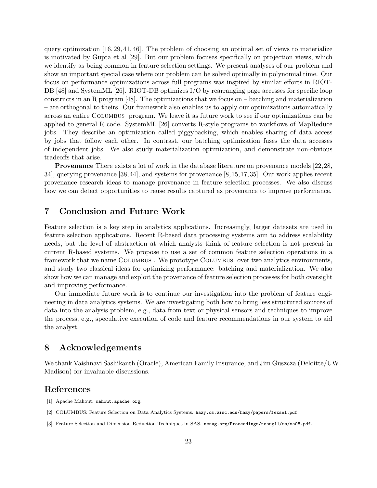query optimization [16, 29, 41, 46]. The problem of choosing an optimal set of views to materialize is motivated by Gupta et al [29]. But our problem focuses specifically on projection views, which we identify as being common in feature selection settings. We present analyses of our problem and show an important special case where our problem can be solved optimally in polynomial time. Our focus on performance optimizations across full programs was inspired by similar efforts in RIOT-DB [48] and SystemML [26]. RIOT-DB optimizes I/O by rearranging page accesses for specific loop constructs in an R program [48]. The optimizations that we focus on  $-$  batching and materialization – are orthogonal to theirs. Our framework also enables us to apply our optimizations automatically across an entire Columbus program. We leave it as future work to see if our optimizations can be applied to general R code. SystemML [26] converts R-style programs to workflows of MapReduce jobs. They describe an optimization called piggybacking, which enables sharing of data access by jobs that follow each other. In contrast, our batching optimization fuses the data accesses of independent jobs. We also study materialization optimization, and demonstrate non-obvious tradeoffs that arise.

Provenance There exists a lot of work in the database literature on provenance models [22,28, 34], querying provenance [38,44], and systems for provenance [8,15,17,35]. Our work applies recent provenance research ideas to manage provenance in feature selection processes. We also discuss how we can detect opportunities to reuse results captured as provenance to improve performance.

# 7 Conclusion and Future Work

Feature selection is a key step in analytics applications. Increasingly, larger datasets are used in feature selection applications. Recent R-based data processing systems aim to address scalability needs, but the level of abstraction at which analysts think of feature selection is not present in current R-based systems. We propose to use a set of common feature selection operations in a framework that we name Columbus . We prototype Columbus over two analytics environments, and study two classical ideas for optimizing performance: batching and materialization. We also show how we can manage and exploit the provenance of feature selection processes for both oversight and improving performance.

Our immediate future work is to continue our investigation into the problem of feature engineering in data analytics systems. We are investigating both how to bring less structured sources of data into the analysis problem, e.g., data from text or physical sensors and techniques to improve the process, e.g., speculative execution of code and feature recommendations in our system to aid the analyst.

# 8 Acknowledgements

We thank Vaishnavi Sashikanth (Oracle), American Family Insurance, and Jim Guszcza (Deloitte/UW-Madison) for invaluable discussions.

# References

- [1] Apache Mahout. mahout.apache.org.
- [2] COLUMBUS: Feature Selection on Data Analytics Systems. hazy.cs.wisc.edu/hazy/papers/fexsel.pdf.
- [3] Feature Selection and Dimension Reduction Techniques in SAS. nesug.org/Proceedings/nesug11/sa/sa08.pdf.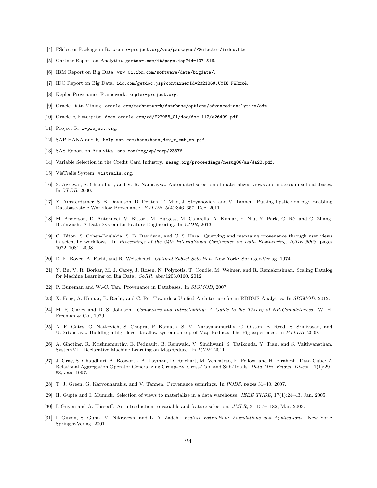- [4] FSelector Package in R. cran.r-project.org/web/packages/FSelector/index.html.
- [5] Gartner Report on Analytics. gartner.com/it/page.jsp?id=1971516.
- [6] IBM Report on Big Data. www-01.ibm.com/software/data/bigdata/.
- [7] IDC Report on Big Data. idc.com/getdoc.jsp?containerId=232186#.UMIO\_FWRxx4.
- [8] Kepler Provenance Framework. kepler-project.org.
- [9] Oracle Data Mining. oracle.com/technetwork/database/options/advanced-analytics/odm.
- [10] Oracle R Enterprise. docs.oracle.com/cd/E27988\_01/doc/doc.112/e26499.pdf.
- [11] Project R. r-project.org.
- [12] SAP HANA and R. help.sap.com/hana/hana\_dev\_r\_emb\_en.pdf.
- [13] SAS Report on Analytics. sas.com/reg/wp/corp/23876.
- [14] Variable Selection in the Credit Card Industry. nesug.org/proceedings/nesug06/an/da23.pdf.
- [15] VisTrails System. vistrails.org.
- [16] S. Agrawal, S. Chaudhuri, and V. R. Narasayya. Automated selection of materialized views and indexes in sql databases. In VLDB, 2000.
- [17] Y. Amsterdamer, S. B. Davidson, D. Deutch, T. Milo, J. Stoyanovich, and V. Tannen. Putting lipstick on pig: Enabling Database-style Workflow Provenance. PVLDB, 5(4):346–357, Dec. 2011.
- [18] M. Anderson, D. Antenucci, V. Bittorf, M. Burgess, M. Cafarella, A. Kumar, F. Niu, Y. Park, C. Ré, and C. Zhang. Brainwash: A Data System for Feature Engineering. In CIDR, 2013.
- [19] O. Biton, S. Cohen-Boulakia, S. B. Davidson, and C. S. Hara. Querying and managing provenance through user views in scientific workflows. In Proceedings of the 24th International Conference on Data Engineering, ICDE 2008, pages 1072–1081, 2008.
- [20] D. E. Boyce, A. Farhi, and R. Weischedel. Optimal Subset Selection. New York: Springer-Verlag, 1974.
- [21] Y. Bu, V. R. Borkar, M. J. Carey, J. Rosen, N. Polyzotis, T. Condie, M. Weimer, and R. Ramakrishnan. Scaling Datalog for Machine Learning on Big Data. CoRR, abs/1203.0160, 2012.
- [22] P. Buneman and W.-C. Tan. Provenance in Databases. In SIGMOD, 2007.
- [23] X. Feng, A. Kumar, B. Recht, and C. Ré. Towards a Unified Architecture for in-RDBMS Analytics. In SIGMOD, 2012.
- [24] M. R. Garey and D. S. Johnson. Computers and Intractability: A Guide to the Theory of NP-Completeness. W. H. Freeman & Co., 1979.
- [25] A. F. Gates, O. Natkovich, S. Chopra, P. Kamath, S. M. Narayanamurthy, C. Olston, B. Reed, S. Srinivasan, and U. Srivastava. Building a high-level dataflow system on top of Map-Reduce: The Pig experience. In PVLDB, 2009.
- [26] A. Ghoting, R. Krishnamurthy, E. Pednault, B. Reinwald, V. Sindhwani, S. Tatikonda, Y. Tian, and S. Vaithyanathan. SystemML: Declarative Machine Learning on MapReduce. In ICDE, 2011.
- [27] J. Gray, S. Chaudhuri, A. Bosworth, A. Layman, D. Reichart, M. Venkatrao, F. Pellow, and H. Pirahesh. Data Cube: A Relational Aggregation Operator Generalizing Group-By, Cross-Tab, and Sub-Totals. Data Min. Knowl. Discov., 1(1):29– 53, Jan. 1997.
- [28] T. J. Green, G. Karvounarakis, and V. Tannen. Provenance semirings. In PODS, pages 31–40, 2007.
- [29] H. Gupta and I. Mumick. Selection of views to materialize in a data warehouse. IEEE TKDE, 17(1):24–43, Jan. 2005.
- [30] I. Guyon and A. Elisseeff. An introduction to variable and feature selection. JMLR, 3:1157–1182, Mar. 2003.
- [31] I. Guyon, S. Gunn, M. Nikravesh, and L. A. Zadeh. Feature Extraction: Foundations and Applications. New York: Springer-Verlag, 2001.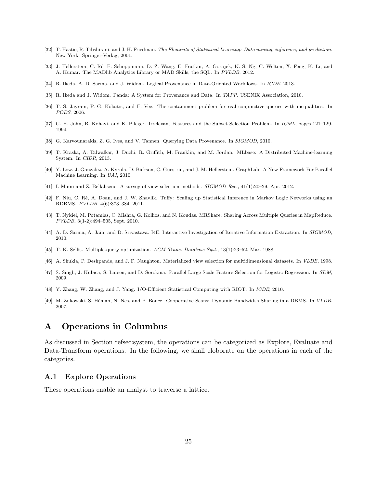- [32] T. Hastie, R. Tibshirani, and J. H. Friedman. The Elements of Statistical Learning: Data mining, inference, and prediction. New York: Springer-Verlag, 2001.
- [33] J. Hellerstein, C. Ré, F. Schoppmann, D. Z. Wang, E. Fratkin, A. Gorajek, K. S. Ng, C. Welton, X. Feng, K. Li, and A. Kumar. The MADlib Analytics Library or MAD Skills, the SQL. In PVLDB, 2012.
- [34] R. Ikeda, A. D. Sarma, and J. Widom. Logical Provenance in Data-Oriented Workflows. In ICDE, 2013.
- [35] R. Ikeda and J. Widom. Panda: A System for Provenance and Data. In TAPP. USENIX Association, 2010.
- [36] T. S. Jayram, P. G. Kolaitis, and E. Vee. The containment problem for real conjunctive queries with inequalities. In PODS, 2006.
- [37] G. H. John, R. Kohavi, and K. Pfleger. Irrelevant Features and the Subset Selection Problem. In *ICML*, pages 121–129, 1994.
- [38] G. Karvounarakis, Z. G. Ives, and V. Tannen. Querying Data Provenance. In SIGMOD, 2010.
- [39] T. Kraska, A. Talwalkar, J. Duchi, R. Griffith, M. Franklin, and M. Jordan. MLbase: A Distributed Machine-learning System. In CIDR, 2013.
- [40] Y. Low, J. Gonzalez, A. Kyrola, D. Bickson, C. Guestrin, and J. M. Hellerstein. GraphLab: A New Framework For Parallel Machine Learning. In UAI, 2010.
- [41] I. Mami and Z. Bellahsene. A survey of view selection methods. SIGMOD Rec., 41(1):20–29, Apr. 2012.
- [42] F. Niu, C. Ré, A. Doan, and J. W. Shavlik. Tuffy: Scaling up Statistical Inference in Markov Logic Networks using an RDBMS. PVLDB, 4(6):373–384, 2011.
- [43] T. Nykiel, M. Potamias, C. Mishra, G. Kollios, and N. Koudas. MRShare: Sharing Across Multiple Queries in MapReduce. PVLDB, 3(1-2):494–505, Sept. 2010.
- [44] A. D. Sarma, A. Jain, and D. Srivastava. I4E: Interactive Investigation of Iterative Information Extraction. In SIGMOD, 2010.
- [45] T. K. Sellis. Multiple-query optimization. ACM Trans. Database Syst., 13(1):23–52, Mar. 1988.
- [46] A. Shukla, P. Deshpande, and J. F. Naughton. Materialized view selection for multidimensional datasets. In VLDB, 1998.
- [47] S. Singh, J. Kubica, S. Larsen, and D. Sorokina. Parallel Large Scale Feature Selection for Logistic Regression. In SDM, 2009.
- [48] Y. Zhang, W. Zhang, and J. Yang. I/O-Efficient Statistical Computing with RIOT. In ICDE, 2010.
- [49] M. Zukowski, S. Héman, N. Nes, and P. Boncz. Cooperative Scans: Dynamic Bandwidth Sharing in a DBMS. In VLDB, 2007.

# A Operations in Columbus

As discussed in Section refsec:system, the operations can be categorized as Explore, Evaluate and Data-Transform operations. In the following, we shall eloborate on the operations in each of the categories.

## A.1 Explore Operations

These operations enable an analyst to traverse a lattice.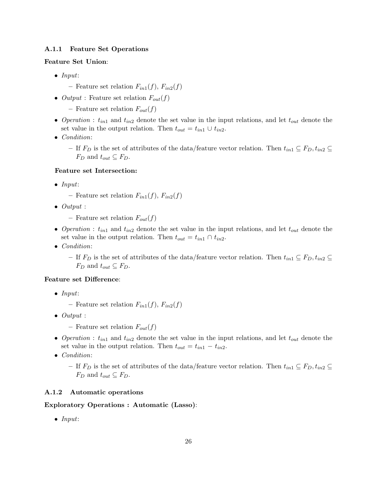## A.1.1 Feature Set Operations

## Feature Set Union:

- Input:
	- Feature set relation  $F_{in1}(f)$ ,  $F_{in2}(f)$
- *Output* : Feature set relation  $F_{out}(f)$ 
	- Feature set relation  $F_{out}(f)$
- Operation :  $t_{in1}$  and  $t_{in2}$  denote the set value in the input relations, and let  $t_{out}$  denote the set value in the output relation. Then  $t_{out} = t_{in1} \cup t_{in2}$ .
- Condition:
	- If  $F_D$  is the set of attributes of the data/feature vector relation. Then  $t_{in1} \subseteq F_D$ ,  $t_{in2} \subseteq$  $F_D$  and  $t_{out} \subseteq F_D$ .

#### Feature set Intersection:

- Input:
	- Feature set relation  $F_{in1}(f)$ ,  $F_{in2}(f)$
- $\bullet$  Output :
	- Feature set relation  $F_{out}(f)$
- Operation :  $t_{in1}$  and  $t_{in2}$  denote the set value in the input relations, and let  $t_{out}$  denote the set value in the output relation. Then  $t_{out} = t_{in1} \cap t_{in2}$ .
- Condition:

– If  $F_D$  is the set of attributes of the data/feature vector relation. Then  $t_{in1} \subseteq F_D$ ,  $t_{in2} \subseteq$  $F_D$  and  $t_{out} \subseteq F_D$ .

#### Feature set Difference:

- Input:
	- Feature set relation  $F_{in1}(f)$ ,  $F_{in2}(f)$
- Output :
	- Feature set relation  $F_{out}(f)$
- Operation :  $t_{in1}$  and  $t_{in2}$  denote the set value in the input relations, and let  $t_{out}$  denote the set value in the output relation. Then  $t_{out} = t_{in1} - t_{in2}$ .
- Condition:
	- If  $F_D$  is the set of attributes of the data/feature vector relation. Then  $t_{in1} \subseteq F_D$ ,  $t_{in2} \subseteq$  $F_D$  and  $t_{out} \subseteq F_D$ .

## A.1.2 Automatic operations

### Exploratory Operations : Automatic (Lasso):

• Input: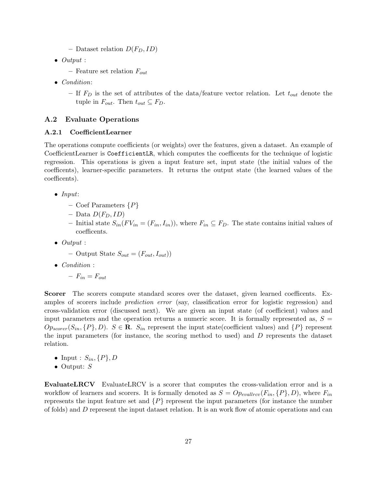- Dataset relation  $D(F_D, ID)$
- Output :
	- Feature set relation  $F_{out}$
- Condition:
	- If  $F_D$  is the set of attributes of the data/feature vector relation. Let  $t_{out}$  denote the tuple in  $F_{out}$ . Then  $t_{out} \subseteq F_D$ .

### A.2 Evaluate Operations

## A.2.1 CoefficientLearner

The operations compute coefficients (or weights) over the features, given a dataset. An example of CoefficientLearner is CoefficientLR, which computes the coefficents for the technique of logistic regression. This operations is given a input feature set, input state (the initial values of the coefficents), learner-specific parameters. It returns the output state (the learned values of the coefficents).

- Input:
	- Coef Parameters  $\{P\}$
	- Data  $D(F_D, ID)$
	- Initial state  $S_{in}(FV_{in} = (F_{in}, I_{in}))$ , where  $F_{in} \subseteq F_D$ . The state contains initial values of coefficents.
- $\bullet$  Output :

- Output State 
$$
S_{out} = (F_{out}, I_{out})
$$
)

• Condition :

 $-F_{in} = F_{out}$ 

Scorer The scorers compute standard scores over the dataset, given learned coefficents. Examples of scorers include *prediction error* (say, classification error for logistic regression) and cross-validation error (discussed next). We are given an input state (of coefficient) values and input parameters and the operation returns a numeric score. It is formally represented as,  $S =$  $Op_{score}(S_{in}, {P}, D)$ .  $S \in \mathbb{R}$ .  $S_{in}$  represent the input state(coefficient values) and  ${P}$  represent the input parameters (for instance, the scoring method to used) and D represents the dataset relation.

- Input :  $S_{in}$ ,  $\{P\}$ , D
- Output: S

EvaluateLRCV EvaluateLRCV is a scorer that computes the cross-validation error and is a workflow of learners and scorers. It is formally denoted as  $S = Op_{evallrcv}(F_{in}, {P}, D)$ , where  $F_{in}$ represents the input feature set and  $\{P\}$  represent the input parameters (for instance the number of folds) and D represent the input dataset relation. It is an work flow of atomic operations and can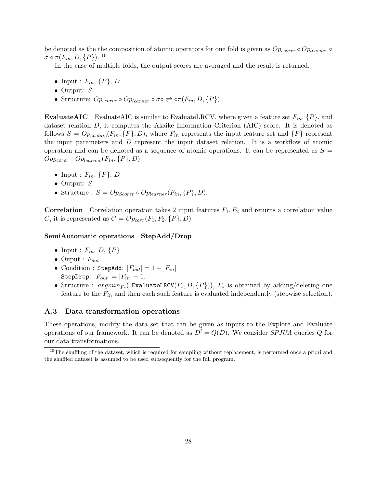be denoted as the the composition of atomic operators for one fold is given as  $Op_{score} \circ Op_{learner} \circ$  $\sigma \circ \pi(F_{in}, D, \{P\})$ . <sup>10</sup>

In the case of multiple folds, the output scores are averaged and the result is returned.

- Input :  $F_{in}$ ,  $\{P\}$ , D
- Output:  $S$
- Structure:  $Op_{score} \circ Op_{learner} \circ \sigma \circ \rightleftharpoons \circ \pi(F_{in}, D, \{P\})$

**EvaluateAIC** EvaluateAIC is similar to EvaluateLRCV, where given a feature set  $F_{in}$ ,  $\{P\}$ , and dataset relation D, it computes the Akaike Information Criterion (AIC) score. It is denoted as follows  $S = Op_{evalaic}(F_{in}, {P}, D)$ , where  $F_{in}$  represents the input feature set and  ${P}$  represent the input parameters and D represent the input dataset relation. It is a workflow of atomic operation and can be denoted as a sequence of atomic operations. It can be represented as  $S =$  $Op_{Scorer} \circ Op_{learner}(F_{in}, {P}, D).$ 

- Input :  $F_{in}$ ,  $\{P\}$ , D
- Output: S
- Structure :  $S = Op_{Scorer} \circ Op_{learner}(F_{in}, {P}, D)$ .

**Correlation** Correlation operation takes 2 input features  $F_1, F_2$  and returns a correlation value C, it is represented as  $C = Op_{corr}(F_1, F_2, \{P\}, D)$ 

### SemiAutomatic operations StepAdd/Drop

- Input :  $F_{in}$ ,  $D$ ,  $\{P\}$
- Ouput :  $F_{out}$ .
- Condition : StepAdd:  $|F_{out}| = 1 + |F_{in}|$ StepDrop:  $|F_{out}| = |F_{in}| - 1$ .
- Structure :  $argmin_{F_s}$  (EvaluateLRCV( $F_s$ ,  $D$ ,  $\{P\})$ ),  $F_s$  is obtained by adding/deleting one feature to the  $F_{in}$  and then each such feature is evaluated independently (stepwise selection).

## A.3 Data transformation operations

These operations, modify the data set that can be given as inputs to the Explore and Evaluate operations of our framework. It can be denoted as  $D^i = Q(D)$ . We consider *SPJUA* queries Q for our data transformations.

 $10$ The shuffling of the dataset, which is required for sampling without replacement, is performed once a priori and the shuffled dataset is assumed to be used subsequently for the full program.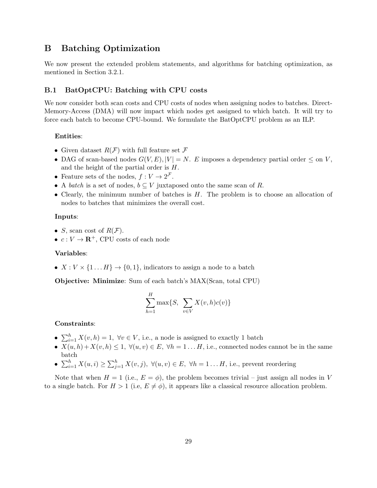# B Batching Optimization

We now present the extended problem statements, and algorithms for batching optimization, as mentioned in Section 3.2.1.

# B.1 BatOptCPU: Batching with CPU costs

We now consider both scan costs and CPU costs of nodes when assigning nodes to batches. Direct-Memory-Access (DMA) will now impact which nodes get assigned to which batch. It will try to force each batch to become CPU-bound. We formulate the BatOptCPU problem as an ILP.

## Entities:

- Given dataset  $R(F)$  with full feature set  $\mathcal F$
- DAG of scan-based nodes  $G(V, E), |V| = N$ . E imposes a dependency partial order  $\leq$  on V, and the height of the partial order is H.
- Feature sets of the nodes,  $f: V \to 2^{\mathcal{F}}$ .
- A *batch* is a set of nodes,  $b \subseteq V$  juxtaposed onto the same scan of R.
- Clearly, the minimum number of batches is  $H$ . The problem is to choose an allocation of nodes to batches that minimizes the overall cost.

### Inputs:

- *S*, scan cost of  $R(F)$ .
- $c: V \to \mathbf{R}^+$ , CPU costs of each node

### Variables:

•  $X: V \times \{1 \dots H\} \rightarrow \{0, 1\}$ , indicators to assign a node to a batch

Objective: Minimize: Sum of each batch's MAX(Scan, total CPU)

$$
\sum_{h=1}^{H} \max\{S, \sum_{v \in V} X(v, h)c(v)\}
$$

#### Constraints:

- $\sum_{i=1}^{h} X(v, h) = 1$ ,  $\forall v \in V$ , i.e., a node is assigned to exactly 1 batch
- $X(u, h) + X(v, h) \leq 1$ ,  $\forall (u, v) \in E$ ,  $\forall h = 1 \dots H$ , i.e., connected nodes cannot be in the same batch
- $\sum_{i=1}^{h} X(u, i) \geq \sum_{j=1}^{h} X(v, j)$ ,  $\forall (u, v) \in E$ ,  $\forall h = 1...H$ , i.e., prevent reordering

Note that when  $H = 1$  (i.e.,  $E = \phi$ ), the problem becomes trivial – just assign all nodes in V to a single batch. For  $H > 1$  (i.e,  $E \neq \phi$ ), it appears like a classical resource allocation problem.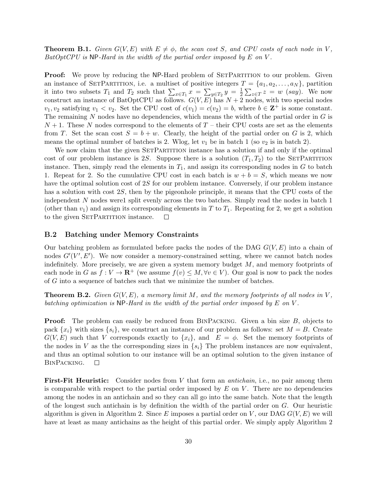**Theorem B.1.** Given  $G(V, E)$  with  $E \neq \phi$ , the scan cost S, and CPU costs of each node in V,  $BatOptCPU$  is NP-Hard in the width of the partial order imposed by  $E$  on  $V$ .

**Proof:** We prove by reducing the NP-Hard problem of SETPARTITION to our problem. Given an instance of SETPARTITION, i.e. a multiset of positive integers  $T = \{a_1, a_2, \ldots, a_N\}$ , partition it into two subsets  $T_1$  and  $T_2$  such that  $\sum_{x \in T_1} x = \sum_{y \in T_2} y = \frac{1}{2}$  $\frac{1}{2}\sum_{z\in T}z=w$  (say). We now construct an instance of BatOptCPU as follows.  $G(V, E)$  has  $N + 2$  nodes, with two special nodes  $v_1, v_2$  satisfying  $v_1 < v_2$ . Set the CPU cost of  $c(v_1) = c(v_2) = b$ , where  $b \in \mathbb{Z}^+$  is some constant. The remaining  $N$  nodes have no dependencies, which means the width of the partial order in  $G$  is  $N+1$ . These N nodes correspond to the elements of T – their CPU costs are set as the elements from T. Set the scan cost  $S = b + w$ . Clearly, the height of the partial order on G is 2, which means the optimal number of batches is 2. Wlog, let  $v_1$  be in batch 1 (so  $v_2$  is in batch 2).

We now claim that the given SETPARTITION instance has a solution if and only if the optimal cost of our problem instance is 2S. Suppose there is a solution  $(T_1, T_2)$  to the SETPARTITION instance. Then, simply read the elements in  $T_1$ , and assign its corresponding nodes in G to batch 1. Repeat for 2. So the cumulative CPU cost in each batch is  $w + b = S$ , which means we now have the optimal solution cost of 2S for our problem instance. Conversely, if our problem instance has a solution with cost 2S, then by the pigeonhole principle, it means that the CPU costs of the independent N nodes were1 split evenly across the two batches. Simply read the nodes in batch 1 (other than  $v_1$ ) and assign its corresponding elements in T to  $T_1$ . Repeating for 2, we get a solution to the given SETPARTITION instance.  $\Box$ 

#### B.2 Batching under Memory Constraints

Our batching problem as formulated before packs the nodes of the DAG  $G(V, E)$  into a chain of nodes  $G'(V', E')$ . We now consider a memory-constrained setting, where we cannot batch nodes indefinitely. More precisely, we are given a system memory budget  $M$ , and memory footprints of each node in G as  $f: V \to \mathbf{R}^+$  (we assume  $f(v) \leq M, \forall v \in V$ ). Our goal is now to pack the nodes of G into a sequence of batches such that we minimize the number of batches.

**Theorem B.2.** Given  $G(V, E)$ , a memory limit M, and the memory footprints of all nodes in V, batching optimization is NP-Hard in the width of the partial order imposed by  $E$  on  $V$ .

**Proof:** The problem can easily be reduced from BINPACKING. Given a bin size B, objects to pack  $\{x_i\}$  with sizes  $\{s_i\}$ , we construct an instance of our problem as follows: set  $M = B$ . Create  $G(V, E)$  such that V corresponds exactly to  $\{x_i\}$ , and  $E = \phi$ . Set the memory footprints of the nodes in V as the the corresponding sizes in  $\{s_i\}$  The problem instances are now equivalent, and thus an optimal solution to our instance will be an optimal solution to the given instance of BinPacking.  $\Box$ 

First-Fit Heuristic: Consider nodes from V that form an *antichain*, i.e., no pair among them is comparable with respect to the partial order imposed by  $E$  on  $V$ . There are no dependencies among the nodes in an antichain and so they can all go into the same batch. Note that the length of the longest such antichain is by definition the width of the partial order on G. Our heuristic algorithm is given in Algorithm 2. Since E imposes a partial order on V, our DAG  $G(V, E)$  we will have at least as many antichains as the height of this partial order. We simply apply Algorithm 2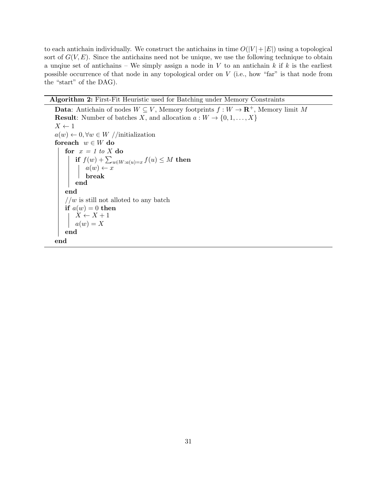to each antichain individually. We construct the antichains in time  $O(|V| + |E|)$  using a topological sort of  $G(V, E)$ . Since the antichains need not be unique, we use the following technique to obtain a unque set of antichains – We simply assign a node in V to an antichain  $k$  if  $k$  is the earliest possible occurrence of that node in any topological order on V (i.e., how "far" is that node from the "start" of the DAG).

## Algorithm 2: First-Fit Heuristic used for Batching under Memory Constraints

**Data:** Antichain of nodes  $W \subseteq V$ , Memory footprints  $f : W \to \mathbb{R}^+$ , Memory limit M **Result:** Number of batches X, and allocation  $a: W \to \{0, 1, \ldots, X\}$  $X \leftarrow 1$  $a(w) \leftarrow 0, \forall w \in W \text{ //initialization}$ for each  $w \in W$  do for  $x = 1$  to X do if  $f(w) + \sum_{u \in W: a(u) = x} f(u) \leq M$  then  $a(w) \leftarrow x$ break end end  $//\boldsymbol{w}$  is still not alloted to any batch if  $a(w) = 0$  then  $X \leftarrow X + 1$  $a(w) = X$ end end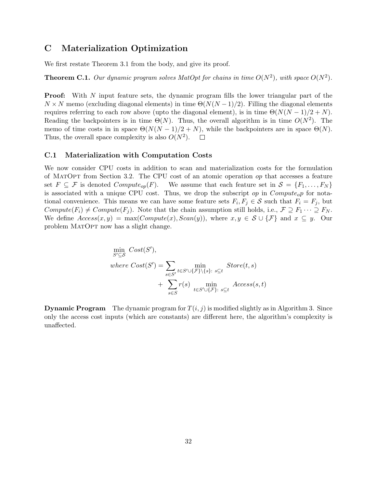# C Materialization Optimization

We first restate Theorem 3.1 from the body, and give its proof.

**Theorem C.1.** Our dynamic program solves MatOpt for chains in time  $O(N^2)$ , with space  $O(N^2)$ .

**Proof:** With N input feature sets, the dynamic program fills the lower triangular part of the  $N \times N$  memo (excluding diagonal elements) in time  $\Theta(N(N-1)/2)$ . Filling the diagonal elements requires referring to each row above (upto the diagonal element), is in time  $\Theta(N(N-1)/2 + N)$ . Reading the backpointers is in time  $\Theta(N)$ . Thus, the overall algorithm is in time  $O(N^2)$ . The memo of time costs in in space  $\Theta(N(N-1)/2+N)$ , while the backpointers are in space  $\Theta(N)$ . Thus, the overall space complexity is also  $O(N^2)$ .  $\Box$ 

### C.1 Materialization with Computation Costs

We now consider CPU costs in addition to scan and materialization costs for the formulation of MatOpt from Section 3.2. The CPU cost of an atomic operation op that accesses a feature set  $F \subseteq \mathcal{F}$  is denoted  $Compute_{op}(F)$ . We assume that each feature set in  $\mathcal{S} = \{F_1, \ldots, F_N\}$ is associated with a unique CPU cost. Thus, we drop the subscript  $op$  in  $Compute_{op}$  for notational convenience. This means we can have some feature sets  $F_i, F_j \in \mathcal{S}$  such that  $F_i = F_j$ , but  $Compute(F_i) \neq Compute(F_j)$ . Note that the chain assumption still holds, i.e.,  $\mathcal{F} \supseteq F_1 \cdots \supseteq F_N$ . We define  $Access(x, y) = max(Compute(x), Scan(y)),$  where  $x, y \in S \cup \{F\}$  and  $x \subseteq y$ . Our problem MatOpt now has a slight change.

$$
\min_{S' \subseteq S} Cost(S'),
$$
\n
$$
where \; Cost(S') = \sum_{s \in S'} \min_{t \in S' \cup \{\mathcal{F}\} \backslash \{s\}:} \sum_{s \subseteq t} Store(t, s)
$$
\n
$$
+ \sum_{s \in S} r(s) \min_{t \in S' \cup \{\mathcal{F}\}:} \sum_{s \subseteq t} Access(s, t)
$$

**Dynamic Program** The dynamic program for  $T(i, j)$  is modified slightly as in Algorithm 3. Since only the access cost inputs (which are constants) are different here, the algorithm's complexity is unaffected.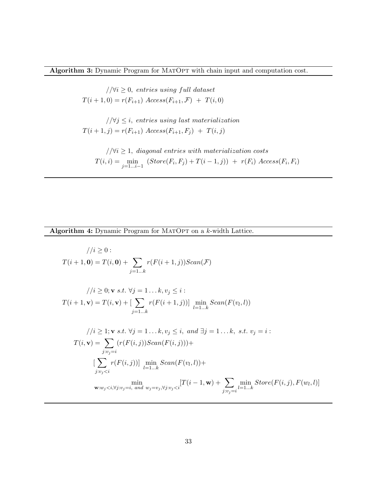Algorithm 3: Dynamic Program for MATOPT with chain input and computation cost.

 $//\forall i \geq 0$ , entries using full dataset  $T(i + 1, 0) = r(F_{i+1})$   $Access(F_{i+1}, \mathcal{F}) + T(i, 0)$ 

 $1/\forall j \leq i$ , entries using last materialization  $T(i + 1, j) = r(F_{i+1}) \; Access(F_{i+1}, F_j) + T(i, j)$ 

 $1/|\forall i \geq 1$ , diagonal entries with materialization costs  $T(i,i) = \min_{j=1...i-1} (Store(F_i, F_j) + T(i-1,j)) + r(F_i) Access(F_i, F_i)$ 

Algorithm 4: Dynamic Program for MATOPT on a k-width Lattice.

$$
f(i + 1, \mathbf{0}) = T(i, \mathbf{0}) + \sum_{j=1...k} r(F(i + 1, j))Scan(\mathcal{F})
$$
  
\n
$$
f(i + 1, \mathbf{0}) = T(i, \mathbf{0}) + \sum_{j=1...k} r(F(i + 1, j))Scan(\mathcal{F})
$$
  
\n
$$
f(i + 1, \mathbf{v}) = T(i, \mathbf{v}) + [\sum_{j=1...k} r(F(i + 1, j))] \min_{l=1...k} Scan(F(v_l, l))
$$
  
\n
$$
f(i \geq 1; \mathbf{v} s.t. \forall j = 1...k, v_j \leq i, \text{ and } \exists j = 1...k, \text{ s.t. } v_j = i:
$$
  
\n
$$
T(i, \mathbf{v}) = \sum_{j: v_j = i} (r(F(i, j))Scan(F(i, j))) + \sum_{j: v_j < i} r(F(i, j)) \min_{l=1...k} Scan(F(v_l, l)) + \sum_{j: v_j < i} \min_{l=1...k} Store(F(i, j), F(w_l, l))
$$
  
\n
$$
\mathbf{w}: w_j < i, \forall j: v_j = i, \text{ and } w_j = v_j, \forall j: v_j < i
$$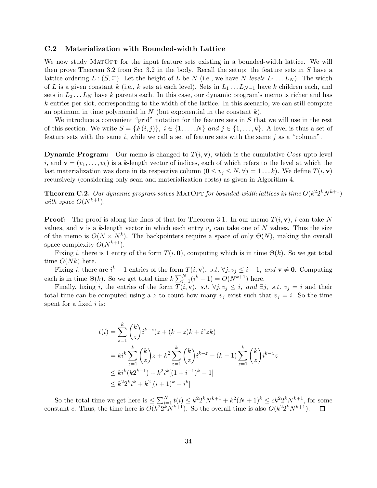### C.2 Materialization with Bounded-width Lattice

We now study MATOPT for the input feature sets existing in a bounded-width lattice. We will then prove Theorem 3.2 from Sec 3.2 in the body. Recall the setup: the feature sets in  $S$  have a lattice ordering  $L : (S, \subseteq)$ . Let the height of L be N (i.e., we have N levels  $L_1 \dots L_N$ ). The width of L is a given constant k (i.e., k sets at each level). Sets in  $L_1 \ldots L_{N-1}$  have k children each, and sets in  $L_2 \ldots L_N$  have k parents each. In this case, our dynamic program's memo is richer and has k entries per slot, corresponding to the width of the lattice. In this scenario, we can still compute an optimum in time polynomial in  $N$  (but exponential in the constant  $k$ ).

We introduce a convenient "grid" notation for the feature sets in  $S$  that we will use in the rest of this section. We write  $S = \{F(i, j)\}, i \in \{1, \ldots, N\}$  and  $j \in \{1, \ldots, k\}$ . A level is thus a set of feature sets with the same  $i$ , while we call a set of feature sets with the same  $j$  as a "column".

**Dynamic Program:** Our memo is changed to  $T(i, v)$ , which is the cumulative Cost upto level i, and  $\mathbf{v} = (v_1, \ldots, v_k)$  is a k-length vector of indices, each of which refers to the level at which the last materialization was done in its respective column ( $0 \le v_i \le N, \forall j = 1 \dots k$ ). We define  $T(i, \mathbf{v})$ recursively (considering only scan and materialization costs) as given in Algorithm 4.

**Theorem C.2.** Our dynamic program solves MATOPT for bounded-width lattices in time  $O(k^2 2^k N^{k+1})$ with space  $O(N^{k+1})$ .

**Proof:** The proof is along the lines of that for Theorem 3.1. In our memo  $T(i, v)$ , i can take N values, and v is a k-length vector in which each entry  $v_i$  can take one of N values. Thus the size of the memo is  $O(N \times N^k)$ . The backpointers require a space of only  $\Theta(N)$ , making the overall space complexity  $O(N^{k+1})$ .

Fixing i, there is 1 entry of the form  $T(i, 0)$ , computing which is in time  $\Theta(k)$ . So we get total time  $O(Nk)$  here.

Fixing i, there are  $i^k - 1$  entries of the form  $T(i, v)$ , s.t.  $\forall j, v_j \leq i - 1$ , and  $v \neq 0$ . Computing each is in time  $\Theta(k)$ . So we get total time  $k\sum_{i=1}^{N} (i^k - 1) = O(N^{k+1})$  here.

Finally, fixing i, the entries of the form  $T(i, v)$ , s.t.  $\forall j, v_j \leq i$ , and  $\exists j$ , s.t.  $v_j = i$  and their total time can be computed using a z to count how many  $v_i$  exist such that  $v_j = i$ . So the time spent for a fixed  $i$  is:

$$
t(i) = \sum_{z=1}^{k} {k \choose z} i^{k-z} (z + (k - z)k + i^{z}zk)
$$
  
=  $ki^{k} \sum_{z=1}^{k} {k \choose z} z + k^{2} \sum_{z=1}^{k} {k \choose z} i^{k-z} - (k - 1) \sum_{z=1}^{k} {k \choose z} i^{k-z} z$   
 $\leq ki^{k} (k2^{k-1}) + k^{2} i^{k} [(1 + i^{-1})^{k} - 1]$   
 $\leq k^{2} 2^{k} i^{k} + k^{2} [(i + 1)^{k} - i^{k}]$ 

So the total time we get here is  $\leq \sum_{i=1}^{N} t(i) \leq k^2 2^k N^{k+1} + k^2 (N+1)^k \leq c k^2 2^k N^{k+1}$ , for some constant c. Thus, the time here is  $O(k^2 2^k N^{k+1})$ . So the overall time is also  $O(k^2 2^k N^{k+1})$ .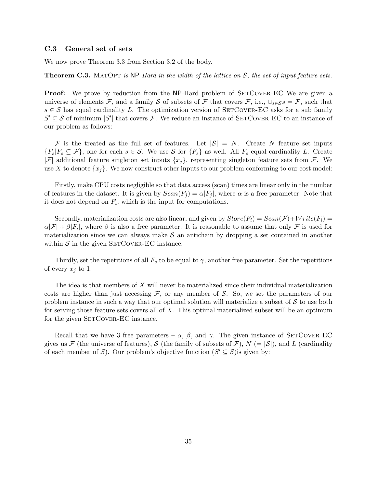### C.3 General set of sets

We now prove Theorem 3.3 from Section 3.2 of the body.

**Theorem C.3.** MATOPT is NP-Hard in the width of the lattice on  $S$ , the set of input feature sets.

**Proof:** We prove by reduction from the NP-Hard problem of SETCOVER-EC We are given a universe of elements F, and a family S of subsets of F that covers F, i.e.,  $\cup_{s\in\mathcal{S}}s=\mathcal{F}$ , such that  $s \in S$  has equal cardinality L. The optimization version of SETCOVER-EC asks for a sub family  $S' \subseteq S$  of minimum  $|S'|$  that covers F. We reduce an instance of SETCOVER-EC to an instance of our problem as follows:

F is the treated as the full set of features. Let  $|\mathcal{S}| = N$ . Create N feature set inputs  ${F_s|F_s \subseteq \mathcal{F}}$ , one for each  $s \in \mathcal{S}$ . We use  $\mathcal{S}$  for  ${F_s}$  as well. All  $F_s$  equal cardinality L. Create |F| additional feature singleton set inputs  $\{x_i\}$ , representing singleton feature sets from F. We use X to denote  $\{x_i\}$ . We now construct other inputs to our problem conforming to our cost model:

Firstly, make CPU costs negligible so that data access (scan) times are linear only in the number of features in the dataset. It is given by  $Scan(F_i) = \alpha |F_i|$ , where  $\alpha$  is a free parameter. Note that it does not depend on  $F_i$ , which is the input for computations.

Secondly, materialization costs are also linear, and given by  $Store(F_i) = Scan(\mathcal{F}) + Write(F_i)$  $\alpha|\mathcal{F}| + \beta|F_i|$ , where  $\beta$  is also a free parameter. It is reasonable to assume that only  $\mathcal F$  is used for materialization since we can always make  $S$  an antichain by dropping a set contained in another within  $S$  in the given SET COVER-EC instance.

Thirdly, set the repetitions of all  $F_s$  to be equal to  $\gamma$ , another free parameter. Set the repetitions of every  $x_j$  to 1.

The idea is that members of X will never be materialized since their individual materialization costs are higher than just accessing  $\mathcal{F}$ , or any member of  $\mathcal{S}$ . So, we set the parameters of our problem instance in such a way that our optimal solution will materialize a subset of  $S$  to use both for serving those feature sets covers all of  $X$ . This optimal materialized subset will be an optimum for the given SETCOVER-EC instance.

Recall that we have 3 free parameters –  $\alpha$ ,  $\beta$ , and  $\gamma$ . The given instance of SETCOVER-EC gives us F (the universe of features), S (the family of subsets of F),  $N (= |\mathcal{S}|)$ , and L (cardinality of each member of S). Our problem's objective function  $(S' \subseteq S)$  is given by: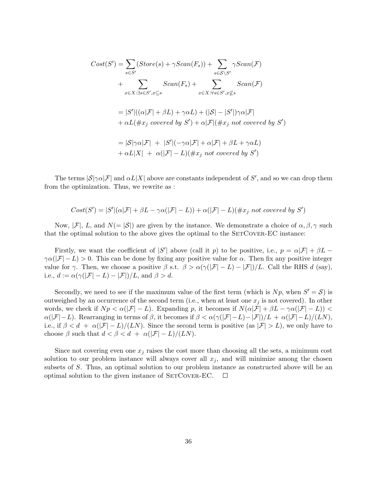$$
Cost(S') = \sum_{s \in S'} (Store(s) + \gamma Scan(F_s)) + \sum_{s \in S \setminus S'} \gamma Scan(\mathcal{F})
$$
  
+ 
$$
\sum_{x \in X : \exists s \in S', x \subseteq s} Scan(F_s) + \sum_{x \in X : \forall s \in S', x \not\subseteq s} Scan(\mathcal{F})
$$
  
= 
$$
|S'|((\alpha|\mathcal{F}| + \beta L) + \gamma \alpha L) + (|\mathcal{S}| - |S'|)\gamma \alpha|\mathcal{F}|
$$
  
+ 
$$
\alpha L(\#x_j \ covered \ by \ S') + \alpha |\mathcal{F}|(\#x_j \ not \ covered \ by \ S')
$$
  
= 
$$
|S|\gamma \alpha|\mathcal{F}| + |S'|(-\gamma \alpha|\mathcal{F}| + \alpha|\mathcal{F}| + \beta L + \gamma \alpha L)
$$
  
+ 
$$
\alpha L|X| + \alpha (|\mathcal{F}| - L)(\#x_j \ not \ covered \ by \ S')
$$

The terms  $|S|\gamma\alpha|\mathcal{F}|$  and  $\alpha L|X|$  above are constants independent of S', and so we can drop them from the optimization. Thus, we rewrite as :

$$
Cost(S') = |S'|(\alpha|\mathcal{F}| + \beta L - \gamma \alpha(|\mathcal{F}|-L)) + \alpha(|\mathcal{F}|-L)(\#x_j \ not \ covered \ by \ S')
$$

Now,  $|\mathcal{F}|$ , L, and  $N(= |\mathcal{S}|)$  are given by the instance. We demonstrate a choice of  $\alpha, \beta, \gamma$  such that the optimal solution to the above gives the optimal to the SETCOVER-EC instance:

Firstly, we want the coefficient of  $|S'|$  above (call it p) to be positive, i.e.,  $p = \alpha |\mathcal{F}| + \beta L \gamma \alpha(|\mathcal{F}| - L) > 0$ . This can be done by fixing any positive value for  $\alpha$ . Then fix any positive integer value for  $\gamma$ . Then, we choose a positive  $\beta$  s.t.  $\beta > \alpha(\gamma(|\mathcal{F}|-L) - |\mathcal{F}|)/L$ . Call the RHS d (say), i.e.,  $d := \alpha(\gamma(|\mathcal{F}| - L) - |\mathcal{F}|)/L$ , and  $\beta > d$ .

Secondly, we need to see if the maximum value of the first term (which is  $Np$ , when  $S' = S$ ) is outweighed by an occurrence of the second term (i.e., when at least one  $x_j$  is not covered). In other words, we check if  $Np < \alpha(|\mathcal{F}| - L)$ . Expanding p, it becomes if  $N(\alpha|\mathcal{F}| + \beta L - \gamma \alpha(|\mathcal{F}| - L))$  $\alpha(|\mathcal{F}| - L)$ . Rearranging in terms of  $\beta$ , it becomes if  $\beta < \alpha(\gamma(|\mathcal{F}| - L) - |\mathcal{F}|)/L + \alpha(|\mathcal{F}| - L)/(LN)$ , i.e., if  $\beta < d + \alpha(|\mathcal{F}| - L)/(LN)$ . Since the second term is positive (as  $|\mathcal{F}| > L$ ), we only have to choose  $\beta$  such that  $d < \beta < d + \alpha(|\mathcal{F}| - L)/(LN)$ .

Since not covering even one  $x_j$  raises the cost more than choosing all the sets, a minimum cost solution to our problem instance will always cover all  $x_j$ , and will minimize among the chosen subsets of S. Thus, an optimal solution to our problem instance as constructed above will be an optimal solution to the given instance of SETCOVER-EC.  $\Box$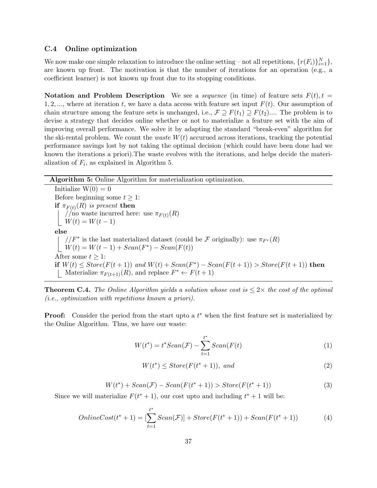## C.4 Online optimization

We now make one simple relaxation to introduce the online setting – not all repetitions,  $\{r(F_i)\}_{i=1}^N\}$ , are known up front. The motivation is that the number of iterations for an operation (e.g., a coefficient learner) is not known up front due to its stopping conditions.

Notation and Problem Description We see a *sequence* (in time) of feature sets  $F(t)$ ,  $t =$ 1, 2, ..., where at iteration t, we have a data access with feature set input  $F(t)$ . Our assumption of chain structure among the feature sets is unchanged, i.e.,  $\mathcal{F} \supseteq F(t_1) \supseteq F(t_2)$ .... The problem is to devise a strategy that decides online whether or not to materialize a feature set with the aim of improving overall performance. We solve it by adapting the standard "break-even" algorithm for the ski-rental problem. We count the *waste*  $W(t)$  accurued across iterations, tracking the potential performance savings lost by not taking the optimal decision (which could have been done had we known the iterations a priori).The waste evolves with the iterations, and helps decide the materialization of  $F_i$ , as explained in Algorithm 5.

Algorithm 5: Online Algorithm for materialization optimization.

Initialize  $W(0) = 0$ Before beginning some  $t \geq 1$ :  $\mathbf{if}\,\,\pi_{F(t)}(R)\,\,is\,\,present\,\,\mathbf{then}$ //no waste incurred here: use  $\pi_{F(t)}(R)$  $W(t) = W(t-1)$ else  $p/F^*$  is the last materialized dataset (could be  $\mathcal F$  originally): use  $\pi_{F^*}(R)$  $W(t) = W(t-1) + Scan(F^*) - Scan(F(t))$ After some  $t \geq 1$ : if  $W(t) \leq Store(F(t+1))$  and  $W(t) + Scan(F^*) - Scan(F(t+1)) > Store(F(t+1))$  then Materialize  $\pi_{F(t+1)}(R)$ , and replace  $F^* \leftarrow F(t+1)$ 

**Theorem C.4.** The Online Algorithm yields a solution whose cost is  $\leq 2 \times$  the cost of the optimal (i.e., optimization with repetitions known a priori).

**Proof:** Consider the period from the start upto a  $t^*$  when the first feature set is materialized by the Online Algorithm. Thus, we have our waste:

$$
W(t^*) = t^*Scan(\mathcal{F}) - \sum_{t=1}^{t^*}Scan(F(t)
$$
\n(1)

$$
W(t^*) \le Store(F(t^*+1)), \ and \tag{2}
$$

$$
W(t^*) + Scan(\mathcal{F}) - Scan(F(t^* + 1)) > Store(F(t^* + 1))
$$
\n(3)

Since we will materialize  $F(t^* + 1)$ , our cost upto and including  $t^* + 1$  will be:

$$
OnlineCost(t^* + 1) = \left[\sum_{t=1}^{t^*} Scan(\mathcal{F})\right] + Store(F(t^* + 1)) + Scan(F(t^* + 1))
$$
\n(4)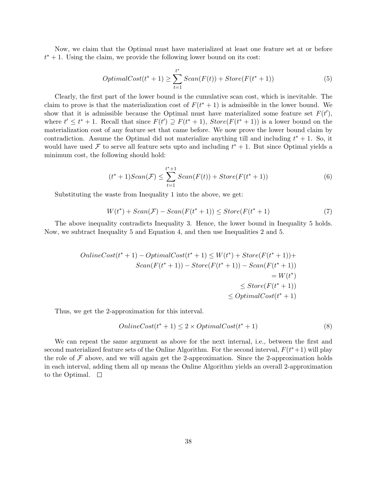Now, we claim that the Optimal must have materialized at least one feature set at or before  $t^* + 1$ . Using the claim, we provide the following lower bound on its cost:

$$
OptimalCost(t^* + 1) \ge \sum_{t=1}^{t^*} Scan(F(t)) + Store(F(t^* + 1))
$$
\n<sup>(5)</sup>

Clearly, the first part of the lower bound is the cumulative scan cost, which is inevitable. The claim to prove is that the materialization cost of  $F(t^* + 1)$  is admissible in the lower bound. We show that it is admissible because the Optimal must have materialized some feature set  $F(t')$ , where  $t' \leq t^* + 1$ . Recall that since  $F(t') \supseteq F(t^* + 1)$ ,  $Store(F(t^* + 1))$  is a lower bound on the materialization cost of any feature set that came before. We now prove the lower bound claim by contradiction. Assume the Optimal did not materialize anything till and including  $t^* + 1$ . So, it would have used F to serve all feature sets upto and including  $t^* + 1$ . But since Optimal yields a minimum cost, the following should hold:

$$
(t^* + 1)Scan(\mathcal{F}) \le \sum_{t=1}^{t^* + 1}Scan(F(t)) + Store(F(t^* + 1))
$$
\n(6)

Substituting the waste from Inequality 1 into the above, we get:

$$
W(t^*) + Scan(\mathcal{F}) - Scan(F(t^*+1)) \le Store(F(t^*+1)
$$
\n<sup>(7)</sup>

The above inequality contradicts Inequality 3. Hence, the lower bound in Inequality 5 holds. Now, we subtract Inequality 5 and Equation 4, and then use Inequalities 2 and 5.

$$
OnlineCost(t^* + 1) - OptimalCost(t^* + 1) \le W(t^*) + Store(F(t^* + 1)) +
$$
  
\n
$$
Scan(F(t^* + 1)) - Store(F(t^* + 1)) - Scan(F(t^* + 1))
$$
  
\n
$$
= W(t^*)
$$
  
\n
$$
\le Store(F(t^* + 1))
$$
  
\n
$$
\le OptimalCost(t^* + 1)
$$

Thus, we get the 2-approximation for this interval.

$$
OnlineCost(t^* + 1) \le 2 \times OptimalCost(t^* + 1)
$$
\n(8)

We can repeat the same argument as above for the next internal, i.e., between the first and second materialized feature sets of the Online Algorithm. For the second interval,  $F(t^*+1)$  will play the role of  $\mathcal F$  above, and we will again get the 2-approximation. Since the 2-approximation holds in each interval, adding them all up means the Online Algorithm yields an overall 2-approximation to the Optimal.  $\square$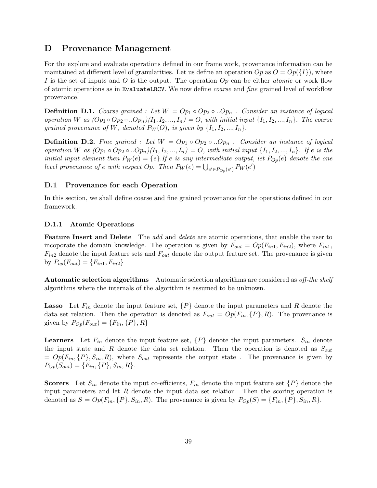# D Provenance Management

For the explore and evaluate operations defined in our frame work, provenance information can be maintained at different level of granularities. Let us define an operation  $Op$  as  $O = Op({I})$ , where I is the set of inputs and O is the output. The operation  $Op$  can be either *atomic* or work flow of atomic operations as in EvaluateLRCV. We now define coarse and fine grained level of workflow provenance.

**Definition D.1.** Coarse grained : Let  $W = Op_1 \circ Op_2 \circ D_p$ . Consider an instance of logical operation W as  $(op_1 \circ Op_2 \circ .Op_n)(I_1, I_2, ..., I_n) = O$ , with initial input  $\{I_1, I_2, ..., I_n\}$ . The coarse grained provenance of W, denoted  $P_W(O)$ , is given by  $\{I_1, I_2, ..., I_n\}$ .

**Definition D.2.** Fine grained : Let  $W = Op_1 \circ Op_2 \circ D_n$ . Consider an instance of logical operation W as  $(op_1 \circ Op_2 \circ ... Op_n)(I_1, I_2, ..., I_n) = O$ , with initial input  $\{I_1, I_2, ..., I_n\}$ . If e is the initial input element then  $P_W(e) = \{e\}$ . If e is any intermediate output, let  $P_{Op}(e)$  denote the one level provenance of e with respect Op. Then  $P_W(e) = \bigcup_{e' \in P_{Op}(e')} P_W(e')$ 

# D.1 Provenance for each Operation

In this section, we shall define coarse and fine grained provenance for the operations defined in our framework.

### D.1.1 Atomic Operations

**Feature Insert and Delete** The add and delete are atomic operations, that enable the user to incoporate the domain knowledge. The operation is given by  $F_{out} = Op(F_{in1}, F_{in2})$ , where  $F_{in1}$ ,  $F_{in2}$  denote the input feature sets and  $F_{out}$  denote the output feature set. The provenance is given by  $P_{op}(F_{out}) = \{F_{in1}, F_{in2}\}\$ 

Automatic selection algorithms Automatic selection algorithms are considered as off-the shelf algorithms where the internals of the algorithm is assumed to be unknown.

**Lasso** Let  $F_{in}$  denote the input feature set,  $\{P\}$  denote the input parameters and R denote the data set relation. Then the operation is denoted as  $F_{out} = Op(F_{in}, \{P\}, R)$ . The provenance is given by  $P_{Op}(F_{out}) = \{F_{in}, \{P\}, R\}$ 

**Learners** Let  $F_{in}$  denote the input feature set,  $\{P\}$  denote the input parameters.  $S_{in}$  denote the input state and R denote the data set relation. Then the operation is denoted as  $S_{out}$  $= Op(F_{in}, {P}, S_{in}, R)$ , where  $S_{out}$  represents the output state. The provenance is given by  $P_{Op}(S_{out}) = \{F_{in}, \{P\}, S_{in}, R\}.$ 

**Scorers** Let  $S_{in}$  denote the input co-efficients,  $F_{in}$  denote the input feature set  $\{P\}$  denote the input parameters and let  $R$  denote the input data set relation. Then the scoring operation is denoted as  $S = Op(F_{in}, \{P\}, S_{in}, R)$ . The provenance is given by  $P_{Op}(S) = \{F_{in}, \{P\}, S_{in}, R\}$ .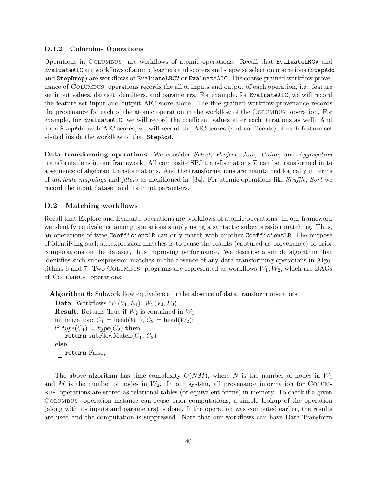### D.1.2 Columbus Operations

Operations in Columbus are workflows of atomic operations. Recall that EvaluateLRCV and EvaluateAIC are workflows of atomic learners and scorers and stepwise selection operations (StepAdd and StepDrop) are workflows of EvaluateLRCV or EvaluateAIC. The coarse grained workflow provenance of COLUMBUS operations records the all of inputs and output of each operation, i.e., feature set input values, dataset identifiers, and parameters. For example, for EvaluateAIC, we will record the feature set input and output AIC score alone. The fine grained workflow provenance records the provenance for each of the atomic operation in the workflow of the Columbus operation. For example, for EvaluateAIC, we will record the coefficent values after each iterations as well. And for a StepAdd with AIC scores, we will record the AIC scores (and coefficents) of each feature set visited inside the workflow of that StepAdd.

Data transforming operations We consider Select, Project, Join, Union, and Aggregation transformations in our framework. All composite SPJ transformations T can be transformed in to a sequence of algebraic transformations. And the transformations are maintained logically in terms of attribute mappings and filters as menitioned in [34]. For atomic operations like Shuffle, Sort we record the input dataset and its input paramters.

# D.2 Matching workflows

Recall that Explore and Evaluate operations are workflows of atomic operations. In our framework we identify equivalence among operations simply using a syntactic subexpression matching. Thus, an operations of type CoefficientLR can only match with another CoefficientLR. The purpose of identifying such subexpression matches is to reuse the results (captured as provenance) of prior computations on the dataset, thus improving performance. We describe a simple algorithm that identifies such subexpression matches in the absence of any data transforming operations in Algorithms 6 and 7. Two COLUMBUS programs are represented as workflows  $W_1, W_2$ , which are DAGs of Columbus operations.

Algorithm 6: Subwork flow equivalence in the absence of data transform operators **Data:** Workflows  $W_1(V_1, E_1)$ ,  $W_2(V_2, E_2)$ **Result:** Returns True if  $W_2$  is contained in  $W_1$ initialization:  $C_1 = \text{head}(W_1), C_2 = \text{head}(W_2);$ if  $type(C_1) = type(C_2)$  then return subFlowMatch $(C_1, C_2)$  $\overline{\phantom{a}}$ else return False;

The above algorithm has time complexity  $O(NM)$ , where N is the number of nodes in  $W_1$ and M is the number of nodes in  $W_2$ . In our system, all provenance information for COLUMbus operations are stored as relational tables (or equivalent forms) in memory. To check if a given Columbus operation instance can reuse prior computations, a simple lookup of the operation (along with its inputs and parameters) is done. If the operation was computed earlier, the results are used and the computation is suppressed. Note that our workflows can have Data-Transform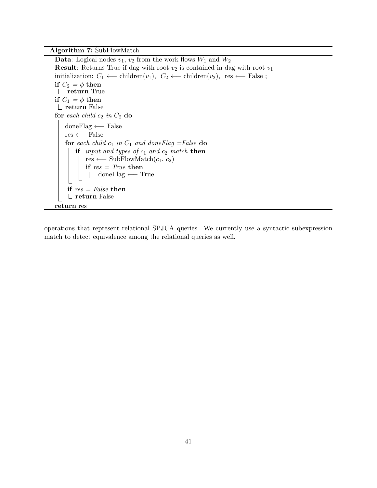Algorithm 7: SubFlowMatch

**Data:** Logical nodes  $v_1$ ,  $v_2$  from the work flows  $W_1$  and  $W_2$ **Result:** Returns True if dag with root  $v_2$  is contained in dag with root  $v_1$ initialization:  $C_1 \leftarrow \text{children}(v_1), C_2 \leftarrow \text{children}(v_2), \text{res} \leftarrow \text{False};$ if  $C_2 = \phi$  then return True if  $C_1 = \phi$  then return False for each child  $c_2$  in  $C_2$  do doneFlag ←− False res ←− False for each child  $c_1$  in  $C_1$  and doneFlag =False do if input and types of  $c_1$  and  $c_2$  match then res ← SubFlowMatch $(c_1, c_2)$ if  $res = True$  then doneFlag ←− True if  $res = False$  then return False return res

operations that represent relational SPJUA queries. We currently use a syntactic subexpression match to detect equivalence among the relational queries as well.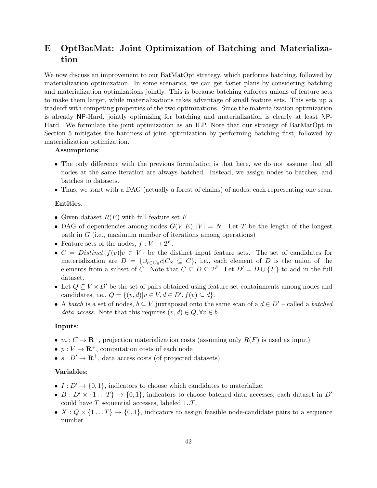# E OptBatMat: Joint Optimization of Batching and Materialization

We now discuss an improvement to our BatMatOpt strategy, which performs batching, followed by materialization optimization. In some scenarios, we can get faster plans by considering batching and materialization optimizations jointly. This is because batching enforces unions of feature sets to make them larger, while materializations takes advantage of small feature sets. This sets up a tradeoff with competing properties of the two optimizations. Since the materialization optimization is already NP-Hard, jointly optimizing for batching and materialization is clearly at least NP-Hard. We formulate the joint optimization as an ILP. Note that our strategy of BatMatOpt in Section 5 mitigates the hardness of joint optimization by performing batching first, followed by materialization optimization.

#### Assumptions:

- The only difference with the previous formulation is that here, we do not assume that all nodes at the same iteration are always batched. Instead, we assign nodes to batches, and batches to datasets.
- Thus, we start with a DAG (actually a forest of chains) of nodes, each representing one scan.

### Entities:

- Given dataset  $R(F)$  with full feature set F
- DAG of dependencies among nodes  $G(V, E), |V| = N$ . Let T be the length of the longest path in G (i.e., maximum number of iterations among operations)
- Feature sets of the nodes,  $f: V \to 2^F$ .
- $C = Distinct{f(v)|v \in V}$  be the distinct input feature sets. The set of candidates for materialization are  $D = \{\cup_{c \in C_S} c | C_S \subseteq C\}$ , i.e., each element of D is the union of the elements from a subset of C. Note that  $C \subseteq D \subseteq 2^F$ . Let  $D' = D \cup \{F\}$  to add in the full dataset.
- Let  $Q \subseteq V \times D'$  be the set of pairs obtained using feature set containments among nodes and candidates, i.e.,  $Q = \{(v, d) | v \in V, d \in D', f(v) \subseteq d\}.$
- A batch is a set of nodes,  $b \subseteq V$  juxtaposed onto the same scan of a  $d \in D'$  called a batched data access. Note that this requires  $(v, d) \in Q, \forall v \in b$ .

#### Inputs:

- $m: C \to \mathbf{R}^+$ , projection materialization costs (assuming only  $R(F)$  is used as input)
- $p: V \to \mathbf{R}^+$ , computation costs of each node
- $s: D' \to \mathbf{R}^+$ , data access costs (of projected datasets)

# Variables:

- $I: D' \rightarrow \{0, 1\}$ , indicators to choose which candidates to materialize.
- $B: D' \times \{1...T\} \rightarrow \{0,1\}$ , indicators to choose batched data accesses; each dataset in D' could have  $T$  sequential accesses, labeled  $1..T$ .
- $X: Q \times \{1...T\} \rightarrow \{0,1\}$ , indicators to assign feasible node-candidate pairs to a sequence number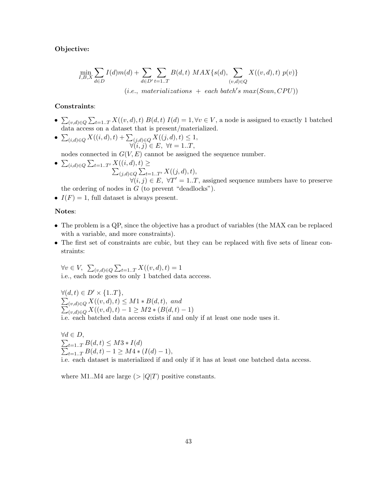# Objective:

$$
\min_{I,B,X} \sum_{d \in D} I(d)m(d) + \sum_{d \in D'} \sum_{t=1..T} B(d,t) MAX\{s(d), \sum_{(v,d) \in Q} X((v,d),t) p(v)\}
$$
  
(i.e., materializations + each batch's max(Scan, CPU))

# Constraints:

- $\bullet \sum_{(v,d)\in Q} \sum_{t=1..T} X((v,d),t) B(d,t) I(d) = 1, \forall v \in V$ , a node is assigned to exactly 1 batched data access on a dataset that is present/materialized.
- $\sum_{(i,d)\in Q} X((i,d), t) + \sum_{(j,d)\in Q} X((j,d), t) \leq 1,$  $\forall (i, j) \in E, \ \forall t = 1..T,$

nodes connected in  $G(V, E)$  cannot be assigned the sequence number.

- $\sum_{(i,d)\in Q} \sum_{t=1..T'} X((i,d), t) \ge \sum_{(i,d)\in Q} \sum_{t=1} X(t,d,t)$  $_{(j,d)\in Q}\sum_{t=1..T'} X((j,d),t),$  $\forall (i, j) \in E, \ \forall T' = 1..T$ , assigned sequence numbers have to preserve
- the ordering of nodes in  $G$  (to prevent "deadlocks").
- $I(F) = 1$ , full dataset is always present.

## Notes:

- The problem is a QP, since the objective has a product of variables (the MAX can be replaced with a variable, and more constraints).
- The first set of constraints are cubic, but they can be replaced with five sets of linear constraints:

 $\forall v \in V, \sum_{(v,d) \in Q} \sum_{t=1..T} X((v,d), t) = 1$ i.e., each node goes to only 1 batched data acccess.

 $\forall (d, t) \in D' \times \{1..T\},\$  $\sum$  $\sum$  $_{(v,d)\in Q}X((v,d),t)\leq M1*B(d,t),$  and  $(v,d) \in Q X((v,d),t) - 1 \ge M2 * (B(d,t) - 1)$ i.e. each batched data access exists if and only if at least one node uses it.

 $\forall d \in D,$  $\sum$  $\sum$  $t=1..T B(d,t) \leq M3 * I(d)$  $t=1..T B(d,t) - 1 \geq M4 * (I(d) - 1),$ i.e. each dataset is materialized if and only if it has at least one batched data access.

where M1..M4 are large  $(>|Q|T)$  positive constants.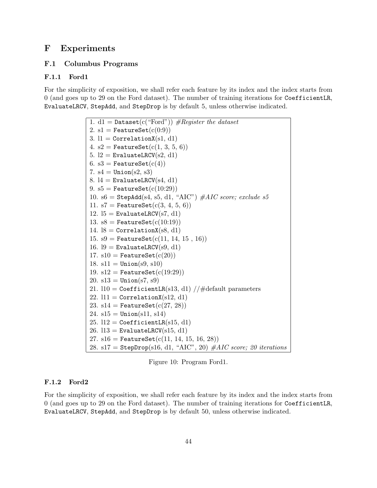# F Experiments

# F.1 Columbus Programs

# F.1.1 Ford1

For the simplicity of exposition, we shall refer each feature by its index and the index starts from 0 (and goes up to 29 on the Ford dataset). The number of training iterations for CoefficientLR, EvaluateLRCV, StepAdd, and StepDrop is by default 5, unless otherwise indicated.

```
1. d1 = Dataset(c("Ford")) #Register the dataset
2. s1 = FeatureSet(c(0.9))3. 11 = \text{CorrelationX}(s1, d1)4. s2 = FeatureSet(c(1, 3, 5, 6))5. l2 = EvaluateLRCV(s2, d1)
6. s3 = FeatureSet(c(4))7. s4 =Union(s2, s3)
8. 14 = EvaluateLRCV(s4, d1)
9. s5 = FeatureSet(c(10:29))10. s6 = StepAdd(s4, s5, d1, "AIC") #AIC score; exclude s5
11. s7 = FeatureSet(c(3, 4, 5, 6))12. 15 = EvaluateLRCV(s7, d1)
13. s8 = FeatureSet(c(10:19))14. 18 = \text{CorrelationX}(s8, d1)15. s9 = FeatureSet(c(11, 14, 15, 16))16. l9 = EvaluateLRCV(s9, d1)
17. sl0 = FeatureSet(c(20))18. s11 = Union(s9, s10)
19. s12 = FeatureSet(c(19:29))20. s13 = Union(s7, s9)
21. l10 = CoefficientLR(s13, d1) //\#default parameters
22. 111 = \text{CorrelationX}(s12, d1)23. s14 = FeatureSet(c(27, 28))24. s15 = Union(s11, s14)
25. 112 = CoefficientLR(s15, d1)26. l13 = EvaluateLRCV(s15, d1)27. s16 = FeatureSet(c(11, 14, 15, 16, 28))28. s17 = StepDrop(s16, d1, "AIC", 20) #AIC score; 20 iterations
```
Figure 10: Program Ford1.

## F.1.2 Ford2

For the simplicity of exposition, we shall refer each feature by its index and the index starts from 0 (and goes up to 29 on the Ford dataset). The number of training iterations for CoefficientLR, EvaluateLRCV, StepAdd, and StepDrop is by default 50, unless otherwise indicated.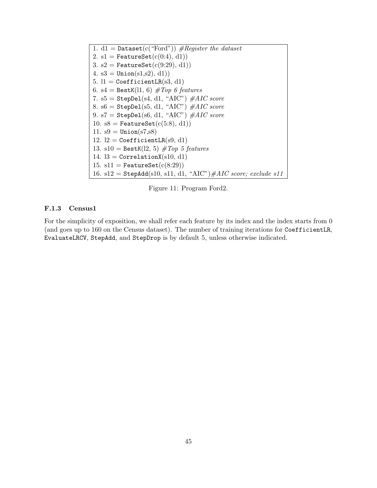1. d1 = Dataset(c("Ford"))  $# Register the dataset$ 2. s1 = FeatureSet $(c(0:4), d1)$ 3. s2 = FeatureSet $(c(9:29), d1)$ 4.  $s3 = Union(s1, s2), d1)$ 5.  $11 = CoefficientLR(s3, d1)$ 6. s4 = BestK(11, 6)  $\#Top\ 6\ features$ 7.  $s5 =$  StepDel(s4, d1, "AIC")  $\#AIC$  score 8.  $s6 =$  StepDel(s5, d1, "AIC")  $#AIC$  score 9. s7 = StepDel(s6, d1, "AIC")  $#AIC$  score 10. s8 = FeatureSet $(c(5:8), d1)$ 11.  $s9 = Union(s7, s8)$ 12.  $l2 = CoefficientLR(s9, d1)$ 13. s10 = BestK(12, 5)  $#Top 5 features$ 14.  $B = \text{CorrelationX}(s10, d1)$ 15. s11 = FeatureSet $(c(8:29))$ 16. s12 = StepAdd(s10, s11, d1, "AIC")#AIC score; exclude s11

Figure 11: Program Ford2.

## F.1.3 Census1

For the simplicity of exposition, we shall refer each feature by its index and the index starts from 0 (and goes up to 160 on the Census dataset). The number of training iterations for CoefficientLR, EvaluateLRCV, StepAdd, and StepDrop is by default 5, unless otherwise indicated.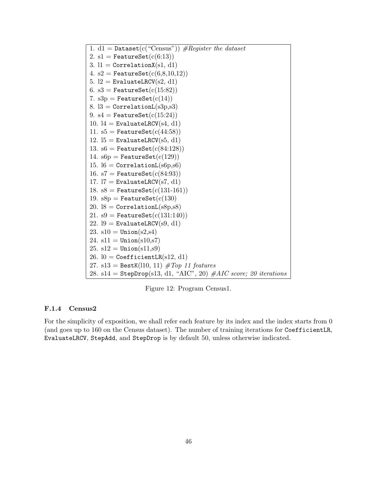1. d1 = Dataset(c("Census"))  $#Request$ 2.  $s1 =$  FeatureSet $(c(6:13))$ 3.  $11 = \text{CorrelationX(s1, d1)}$ 4. s2 = FeatureSet $(c(6, 8, 10, 12))$ 5.  $l2 =$  EvaluateLRCV(s2, d1) 6. s3 = FeatureSet $(c(15.82))$ 7.  $s3p =$  FeatureSet $(c(14))$ 8.  $3 =$  CorrelationL $(s3p,s3)$ 9. s4 = FeatureSet $(c(15:24))$ 10.  $14 =$  EvaluateLRCV(s4, d1) 11.  $s5 =$  FeatureSet $(c(44:58))$ 12.  $15 =$  EvaluateLRCV(s5, d1) 13. s6 = FeatureSet $(c(84:128))$ 14.  $s6p =$  FeatureSet $(c(129))$ 15.  $16 =$  CorrelationL $(s6p, s6)$ 16. s7 = FeatureSet $(c(84:93))$ 17.  $17 =$  EvaluateLRCV(s7, d1) 18.  $s8 =$  FeatureSet( $c(131-161)$ ) 19.  $s8p =$  FeatureSet( $c(130)$ 20.  $18 =$  CorrelationL $(s8p, s8)$ 21.  $s9 =$  FeatureSet( $c(131:140)$ ) 22.  $19 =$  EvaluateLRCV(s9, d1) 23.  $s10 =$ Union( $s2, s4$ ) 24.  $s11 =$ Union( $s10, s7$ ) 25.  $s12 =$  Union( $s11, s9$ ) 26.  $10 = CoefficientLR(s12, d1)$ 27. s13 = BestK(110, 11)  $#Top$  11 features 28. s14 = StepDrop(s13, d1, "AIC", 20)  $#AIC score$ ; 20 iterations

Figure 12: Program Census1.

# F.1.4 Census2

For the simplicity of exposition, we shall refer each feature by its index and the index starts from 0 (and goes up to 160 on the Census dataset). The number of training iterations for CoefficientLR, EvaluateLRCV, StepAdd, and StepDrop is by default 50, unless otherwise indicated.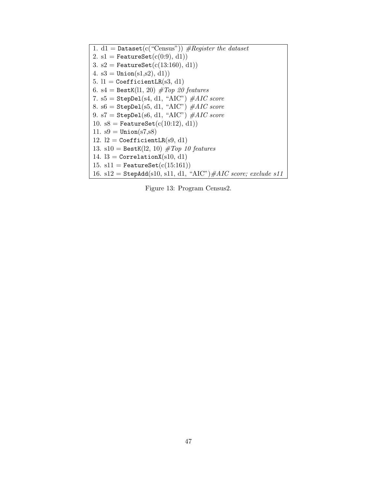1. d1 = Dataset(c("Census"))  $# Register the dataset$ 2. s1 = FeatureSet $(c(0:9), d1)$ 3. s2 = FeatureSet $(c(13:160), d1))$ 4.  $s3 = Union(s1, s2), d1)$ 5.  $11 = CoefficientLR(s3, d1)$ 6. s4 = BestK(11, 20)  $\#Top$  20 features 7.  $s5 =$  StepDel(s4, d1, "AIC")  $#AIC$  score 8. s6 = StepDel(s5, d1, "AIC")  $#AIC$  score 9. s7 = StepDel(s6, d1, "AIC")  $#AIC$  score 10. s8 = FeatureSet $(c(10:12), d1)$ 11.  $s9 = Union(s7, s8)$ 12.  $l2 = CoefficientLR(s9, d1)$ 13. s10 = BestK(12, 10)  $#Top$  10 features 14.  $13 =$  CorrelationX(s10, d1) 15. s11 = FeatureSet $(c(15:161))$ 16. s12 = StepAdd(s10, s11, d1, "AIC")#AIC score; exclude s11

Figure 13: Program Census2.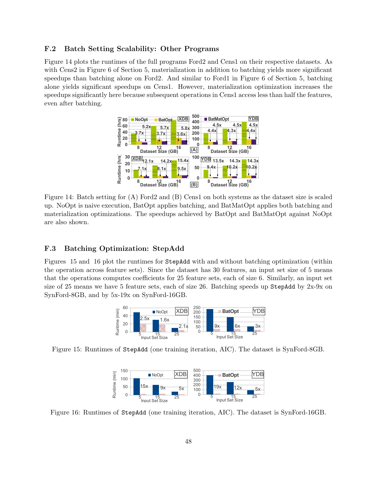# F.2 Batch Setting Scalability: Other Programs

Figure 14 plots the runtimes of the full programs Ford2 and Cens1 on their respective datasets. As with Cens2 in Figure 6 of Section 5, materialization in addition to batching yields more significant speedups than batching alone on Ford2. And similar to Ford1 in Figure 6 of Section 5, batching alone yields significant speedups on Cens1. However, materialization optimization increases the speedups significantly here because subsequent operations in Cens1 access less than half the features, even after batching.



Figure 14: Batch setting for (A) Ford2 and (B) Cens1 on both systems as the dataset size is scaled up. NoOpt is naive execution, BatOpt applies batching, and BatMatOpt applies both batching and materialization optimizations. The speedups achieved by BatOpt and BatMatOpt against NoOpt are also shown.

# F.3 Batching Optimization: StepAdd

Figures 15 and 16 plot the runtimes for StepAdd with and without batching optimization (within the operation across feature sets). Since the dataset has 30 features, an input set size of 5 means that the operations computes coefficients for 25 feature sets, each of size 6. Similarly, an input set size of 25 means we have 5 feature sets, each of size 26. Batching speeds up StepAdd by 2x-9x on SynFord-8GB, and by 5x-19x on SynFord-16GB.



Figure 15: Runtimes of StepAdd (one training iteration, AIC). The dataset is SynFord-8GB.



Figure 16: Runtimes of StepAdd (one training iteration, AIC). The dataset is SynFord-16GB.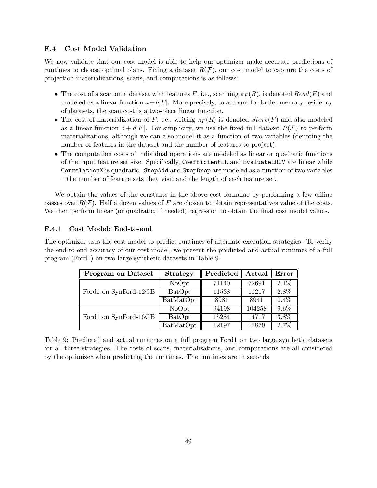# F.4 Cost Model Validation

We now validate that our cost model is able to help our optimizer make accurate predictions of runtimes to choose optimal plans. Fixing a dataset  $R(F)$ , our cost model to capture the costs of projection materializations, scans, and computations is as follows:

- The cost of a scan on a dataset with features F, i.e., scanning  $\pi_F(R)$ , is denoted  $Read(F)$  and modeled as a linear function  $a+b|F|$ . More precisely, to account for buffer memory residency of datasets, the scan cost is a two-piece linear function.
- The cost of materialization of F, i.e., writing  $\pi_F(R)$  is denoted  $Store(F)$  and also modeled as a linear function  $c + d|F|$ . For simplicity, we use the fixed full dataset  $R(F)$  to perform materializations, although we can also model it as a function of two variables (denoting the number of features in the dataset and the number of features to project).
- The computation costs of individual operations are modeled as linear or quadratic functions of the input feature set size. Specifically, CoefficientLR and EvaluateLRCV are linear while CorrelationX is quadratic. StepAdd and StepDrop are modeled as a function of two variables – the number of feature sets they visit and the length of each feature set.

We obtain the values of the constants in the above cost formulae by performing a few offline passes over  $R(\mathcal{F})$ . Half a dozen values of F are chosen to obtain representatives value of the costs. We then perform linear (or quadratic, if needed) regression to obtain the final cost model values.

# F.4.1 Cost Model: End-to-end

The optimizer uses the cost model to predict runtimes of alternate execution strategies. To verify the end-to-end accuracy of our cost model, we present the predicted and actual runtimes of a full program (Ford1) on two large synthetic datasets in Table 9.

| <b>Program on Dataset</b> | <b>Strategy</b> | Predicted | Actual | Error   |
|---------------------------|-----------------|-----------|--------|---------|
|                           | NoOpt           | 71140     | 72691  | $2.1\%$ |
| Ford1 on SynFord-12GB     | BatOpt          | 11538     | 11217  | 2.8%    |
|                           | BatMatOpt       | 8981      | 8941   | $0.4\%$ |
|                           | NoOpt           | 94198     | 104258 | $9.6\%$ |
| Ford1 on SynFord-16GB     | BatOpt          | 15284     | 14717  | 3.8%    |
|                           | BatMatOpt       | 12197     | 11879  | $2.7\%$ |

Table 9: Predicted and actual runtimes on a full program Ford1 on two large synthetic datasets for all three strategies. The costs of scans, materializations, and computations are all considered by the optimizer when predicting the runtimes. The runtimes are in seconds.